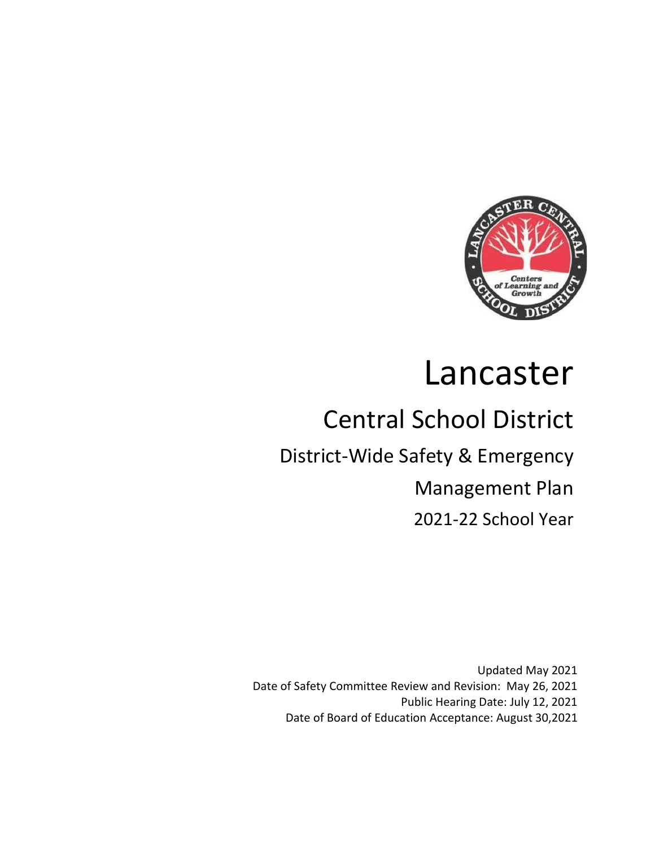

# Lancaster

# Central School District

# District-Wide Safety & Emergency

Management Plan

2021-22 School Year

Updated May 2021 Date of Safety Committee Review and Revision: May 26, 2021 Public Hearing Date: July 12, 2021 Date of Board of Education Acceptance: August 30,2021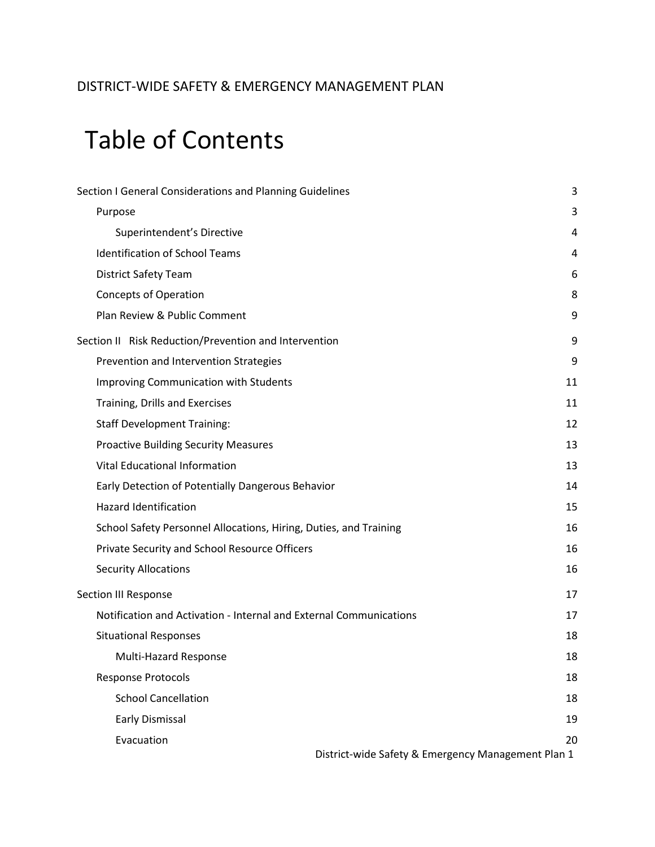## DISTRICT-WIDE SAFETY & EMERGENCY MANAGEMENT PLAN

# Table of Contents

| Section I General Considerations and Planning Guidelines           | 3  |
|--------------------------------------------------------------------|----|
| Purpose                                                            | 3  |
| Superintendent's Directive                                         | 4  |
| <b>Identification of School Teams</b>                              | 4  |
| <b>District Safety Team</b>                                        | 6  |
| <b>Concepts of Operation</b>                                       | 8  |
| Plan Review & Public Comment                                       | 9  |
| Section II Risk Reduction/Prevention and Intervention              | 9  |
| Prevention and Intervention Strategies                             | 9  |
| <b>Improving Communication with Students</b>                       | 11 |
| Training, Drills and Exercises                                     | 11 |
| <b>Staff Development Training:</b>                                 | 12 |
| <b>Proactive Building Security Measures</b>                        | 13 |
| <b>Vital Educational Information</b>                               | 13 |
| Early Detection of Potentially Dangerous Behavior                  | 14 |
| <b>Hazard Identification</b>                                       | 15 |
| School Safety Personnel Allocations, Hiring, Duties, and Training  | 16 |
| Private Security and School Resource Officers                      | 16 |
| <b>Security Allocations</b>                                        | 16 |
| Section III Response                                               | 17 |
| Notification and Activation - Internal and External Communications | 17 |
| <b>Situational Responses</b>                                       | 18 |
| <b>Multi-Hazard Response</b>                                       | 18 |
| <b>Response Protocols</b>                                          | 18 |
| <b>School Cancellation</b>                                         | 18 |
| <b>Early Dismissal</b>                                             | 19 |
| Evacuation                                                         | 20 |
| District-wide Safety & Emergency Management Plan 1                 |    |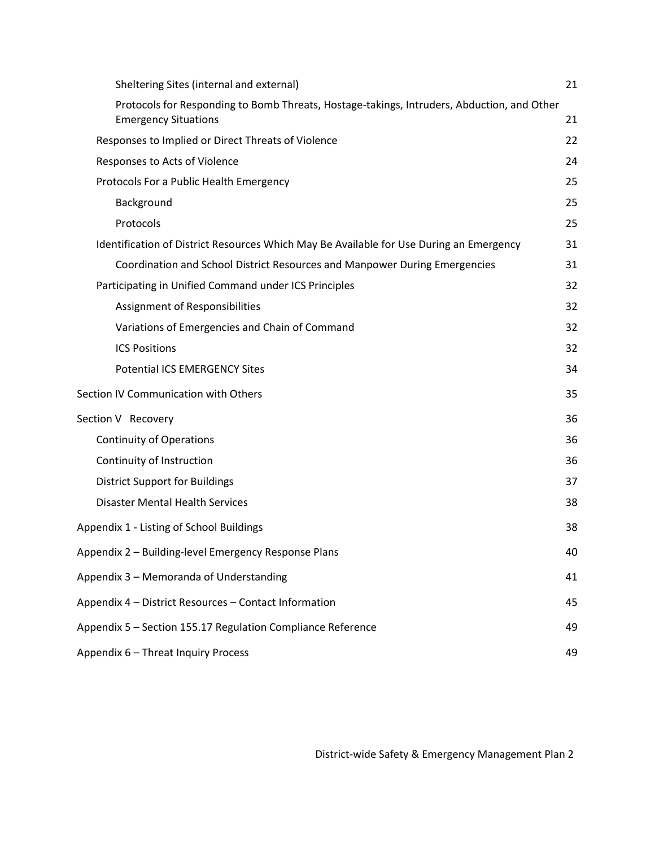| Sheltering Sites (internal and external)                                                                                  | 21 |
|---------------------------------------------------------------------------------------------------------------------------|----|
| Protocols for Responding to Bomb Threats, Hostage-takings, Intruders, Abduction, and Other<br><b>Emergency Situations</b> | 21 |
| Responses to Implied or Direct Threats of Violence                                                                        | 22 |
| Responses to Acts of Violence                                                                                             | 24 |
| Protocols For a Public Health Emergency                                                                                   | 25 |
| Background                                                                                                                | 25 |
| Protocols                                                                                                                 | 25 |
| Identification of District Resources Which May Be Available for Use During an Emergency                                   | 31 |
| Coordination and School District Resources and Manpower During Emergencies                                                | 31 |
| Participating in Unified Command under ICS Principles                                                                     | 32 |
| Assignment of Responsibilities                                                                                            | 32 |
| Variations of Emergencies and Chain of Command                                                                            | 32 |
| <b>ICS Positions</b>                                                                                                      | 32 |
| <b>Potential ICS EMERGENCY Sites</b>                                                                                      | 34 |
| Section IV Communication with Others                                                                                      | 35 |
| Section V Recovery                                                                                                        | 36 |
| <b>Continuity of Operations</b>                                                                                           | 36 |
| Continuity of Instruction                                                                                                 | 36 |
| <b>District Support for Buildings</b>                                                                                     | 37 |
| <b>Disaster Mental Health Services</b>                                                                                    | 38 |
| Appendix 1 - Listing of School Buildings                                                                                  | 38 |
| Appendix 2 - Building-level Emergency Response Plans                                                                      | 40 |
| Appendix 3 - Memoranda of Understanding                                                                                   | 41 |
| Appendix 4 - District Resources - Contact Information                                                                     | 45 |
| Appendix 5 - Section 155.17 Regulation Compliance Reference                                                               | 49 |
| Appendix 6 - Threat Inquiry Process                                                                                       | 49 |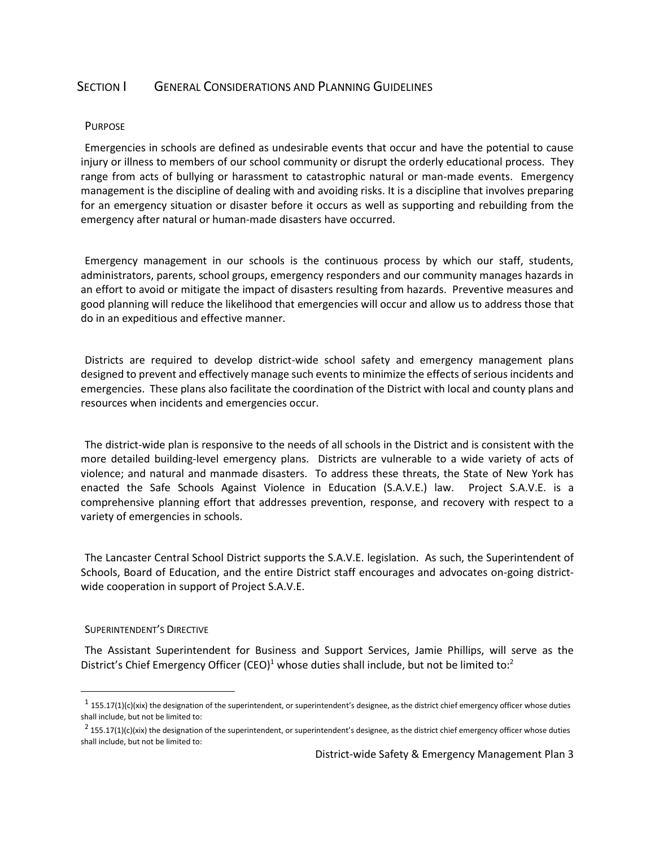## <span id="page-3-0"></span>SECTION **I** GENERAL CONSIDERATIONS AND PLANNING GUIDELINES

#### <span id="page-3-1"></span>PURPOSE

Emergencies in schools are defined as undesirable events that occur and have the potential to cause injury or illness to members of our school community or disrupt the orderly educational process. They range from acts of bullying or harassment to catastrophic natural or man-made events. Emergency management is the discipline of dealing with and avoiding risks. It is a discipline that involves preparing for an emergency situation or disaster before it occurs as well as supporting and rebuilding from the emergency after natural or human-made disasters have occurred.

Emergency management in our schools is the continuous process by which our staff, students, administrators, parents, school groups, emergency responders and our community manages hazards in an effort to avoid or mitigate the impact of disasters resulting from hazards. Preventive measures and good planning will reduce the likelihood that emergencies will occur and allow us to address those that do in an expeditious and effective manner.

Districts are required to develop district-wide school safety and emergency management plans designed to prevent and effectively manage such events to minimize the effects of serious incidents and emergencies. These plans also facilitate the coordination of the District with local and county plans and resources when incidents and emergencies occur.

The district-wide plan is responsive to the needs of all schools in the District and is consistent with the more detailed building-level emergency plans. Districts are vulnerable to a wide variety of acts of violence; and natural and manmade disasters. To address these threats, the State of New York has enacted the Safe Schools Against Violence in Education (S.A.V.E.) law. Project S.A.V.E. is a comprehensive planning effort that addresses prevention, response, and recovery with respect to a variety of emergencies in schools.

The Lancaster Central School District supports the S.A.V.E. legislation. As such, the Superintendent of Schools, Board of Education, and the entire District staff encourages and advocates on-going districtwide cooperation in support of Project S.A.V.E.

#### <span id="page-3-2"></span>SUPERINTENDENT'S DIRECTIVE

 $\ddot{\phantom{a}}$ 

The Assistant Superintendent for Business and Support Services, Jamie Phillips, will serve as the District's Chief Emergency Officer (CEO)<sup>1</sup> whose duties shall include, but not be limited to:<sup>2</sup>

 $^1$  155.17(1)(c)(xix) the designation of the superintendent, or superintendent's designee, as the district chief emergency officer whose duties shall include, but not be limited to:

 $^2$  155.17(1)(c)(xix) the designation of the superintendent, or superintendent's designee, as the district chief emergency officer whose duties shall include, but not be limited to: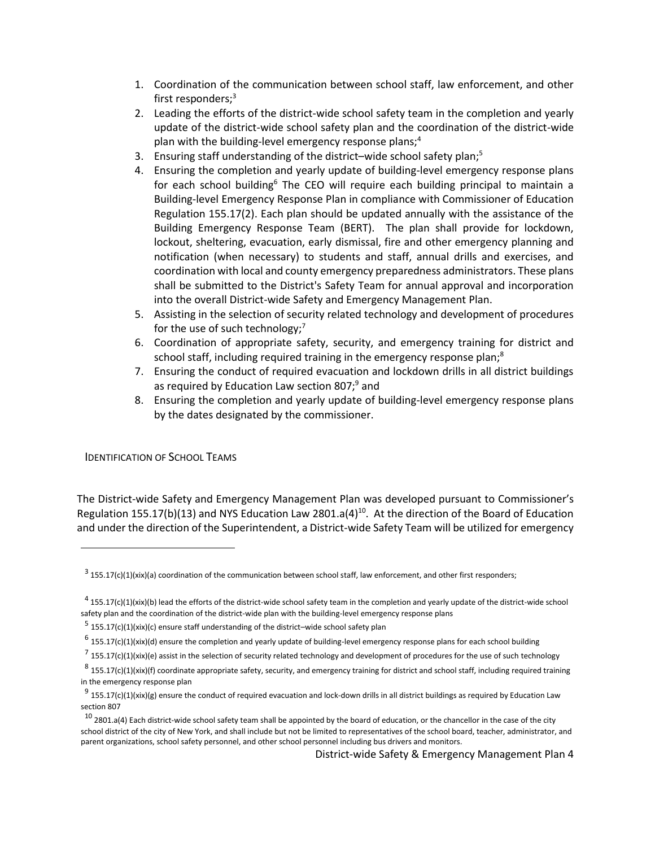- 1. Coordination of the communication between school staff, law enforcement, and other first responders;<sup>3</sup>
- 2. Leading the efforts of the district-wide school safety team in the completion and yearly update of the district-wide school safety plan and the coordination of the district-wide plan with the building-level emergency response plans;<sup>4</sup>
- 3. Ensuring staff understanding of the district–wide school safety plan; $5$
- 4. Ensuring the completion and yearly update of building-level emergency response plans for each school building<sup>6</sup> The CEO will require each building principal to maintain a Building-level Emergency Response Plan in compliance with Commissioner of Education Regulation 155.17(2). Each plan should be updated annually with the assistance of the Building Emergency Response Team (BERT). The plan shall provide for lockdown, lockout, sheltering, evacuation, early dismissal, fire and other emergency planning and notification (when necessary) to students and staff, annual drills and exercises, and coordination with local and county emergency preparedness administrators. These plans shall be submitted to the District's Safety Team for annual approval and incorporation into the overall District-wide Safety and Emergency Management Plan.
- 5. Assisting in the selection of security related technology and development of procedures for the use of such technology; $<sup>7</sup>$ </sup>
- 6. Coordination of appropriate safety, security, and emergency training for district and school staff, including required training in the emergency response plan;<sup>8</sup>
- 7. Ensuring the conduct of required evacuation and lockdown drills in all district buildings as required by Education Law section 807;<sup>9</sup> and
- 8. Ensuring the completion and yearly update of building-level emergency response plans by the dates designated by the commissioner.

<span id="page-4-0"></span>IDENTIFICATION OF SCHOOL TEAMS

 $\ddot{\phantom{a}}$ 

The District-wide Safety and Emergency Management Plan was developed pursuant to Commissioner's Regulation 155.17(b)(13) and NYS Education Law 2801.a(4)<sup>10</sup>. At the direction of the Board of Education and under the direction of the Superintendent, a District-wide Safety Team will be utilized for emergency

 $^3$  155.17(c)(1)(xix)(a) coordination of the communication between school staff, law enforcement, and other first responders;

 $^4$  155.17(c)(1)(xix)(b) lead the efforts of the district-wide school safety team in the completion and yearly update of the district-wide school safety plan and the coordination of the district-wide plan with the building-level emergency response plans

<sup>&</sup>lt;sup>5</sup> 155.17(c)(1)(xix)(c) ensure staff understanding of the district–wide school safety plan

 $^6$  155.17(c)(1)(xix)(d) ensure the completion and yearly update of building-level emergency response plans for each school building

 $^7$  155.17(c)(1)(xix)(e) assist in the selection of security related technology and development of procedures for the use of such technology

 $^8$  155.17(c)(1)(xix)(f) coordinate appropriate safety, security, and emergency training for district and school staff, including required training in the emergency response plan

 $^9$  155.17(c)(1)(xix)(g) ensure the conduct of required evacuation and lock-down drills in all district buildings as required by Education Law section 807

 $10$  2801.a(4) Each district-wide school safety team shall be appointed by the board of education, or the chancellor in the case of the city school district of the city of New York, and shall include but not be limited to representatives of the school board, teacher, administrator, and parent organizations, school safety personnel, and other school personnel including bus drivers and monitors.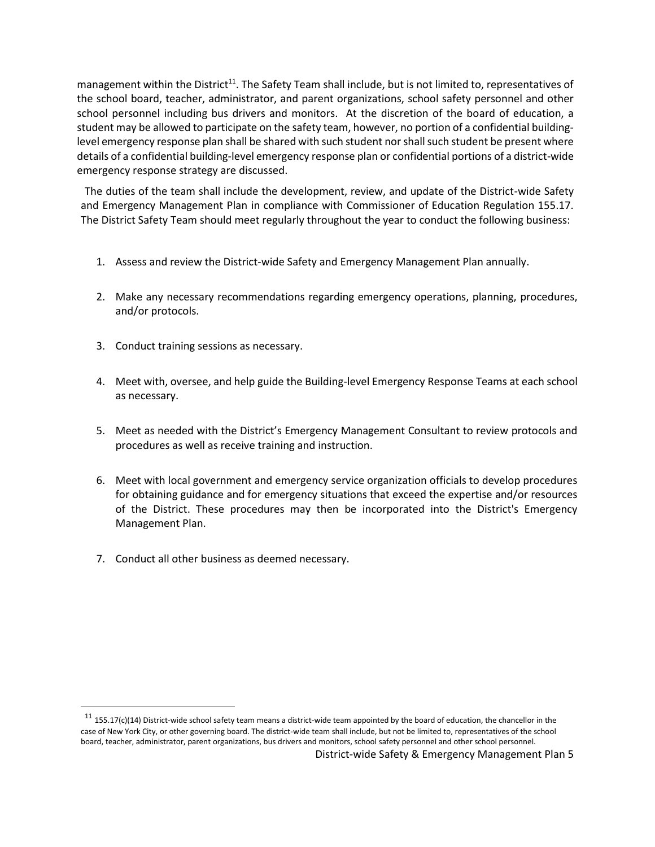management within the District<sup>11</sup>. The Safety Team shall include, but is not limited to, representatives of the school board, teacher, administrator, and parent organizations, school safety personnel and other school personnel including bus drivers and monitors. At the discretion of the board of education, a student may be allowed to participate on the safety team, however, no portion of a confidential buildinglevel emergency response plan shall be shared with such student nor shall such student be present where details of a confidential building-level emergency response plan or confidential portions of a district-wide emergency response strategy are discussed.

The duties of the team shall include the development, review, and update of the District-wide Safety and Emergency Management Plan in compliance with Commissioner of Education Regulation 155.17. The District Safety Team should meet regularly throughout the year to conduct the following business:

- 1. Assess and review the District-wide Safety and Emergency Management Plan annually.
- 2. Make any necessary recommendations regarding emergency operations, planning, procedures, and/or protocols.
- 3. Conduct training sessions as necessary.
- 4. Meet with, oversee, and help guide the Building-level Emergency Response Teams at each school as necessary.
- 5. Meet as needed with the District's Emergency Management Consultant to review protocols and procedures as well as receive training and instruction.
- 6. Meet with local government and emergency service organization officials to develop procedures for obtaining guidance and for emergency situations that exceed the expertise and/or resources of the District. These procedures may then be incorporated into the District's Emergency Management Plan.
- 7. Conduct all other business as deemed necessary.

 $\ddot{\phantom{a}}$ 

 $11$  155.17(c)(14) District-wide school safety team means a district-wide team appointed by the board of education, the chancellor in the case of New York City, or other governing board. The district-wide team shall include, but not be limited to, representatives of the school board, teacher, administrator, parent organizations, bus drivers and monitors, school safety personnel and other school personnel.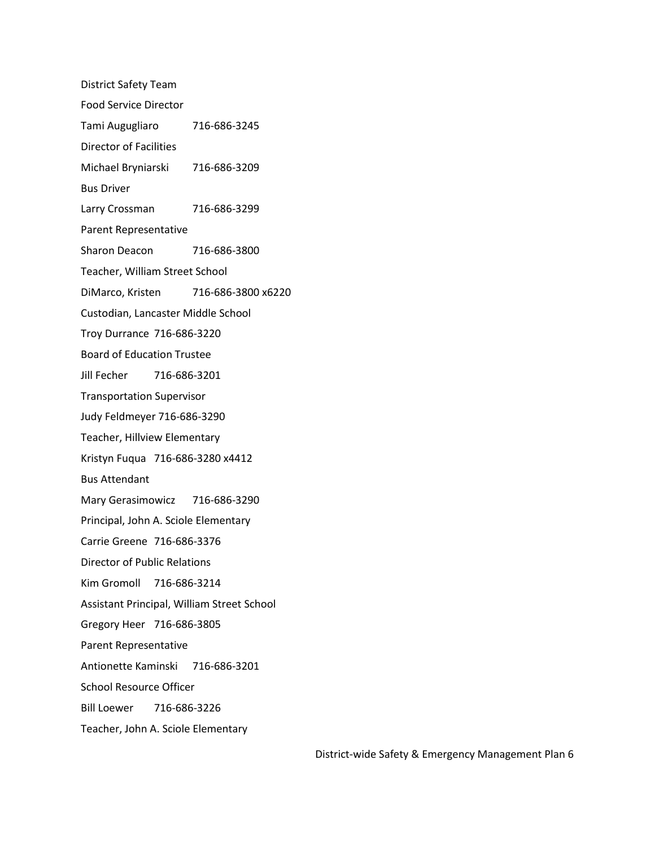<span id="page-6-0"></span>District Safety Team Food Service Director Tami Augugliaro 716-686-3245 Director of Facilities Michael Bryniarski 716-686-3209 Bus Driver Larry Crossman 716-686-3299 Parent Representative Sharon Deacon 716-686-3800 Teacher, William Street School DiMarco, Kristen 716-686-3800 x6220 Custodian, Lancaster Middle School Troy Durrance 716-686-3220 Board of Education Trustee Jill Fecher 716-686-3201 Transportation Supervisor Judy Feldmeyer 716-686-3290 Teacher, Hillview Elementary Kristyn Fuqua 716-686-3280 x4412 Bus Attendant Mary Gerasimowicz 716-686-3290 Principal, John A. Sciole Elementary Carrie Greene 716-686-3376 Director of Public Relations Kim Gromoll 716-686-3214 Assistant Principal, William Street School Gregory Heer 716-686-3805 Parent Representative Antionette Kaminski 716-686-3201 School Resource Officer Bill Loewer 716-686-3226 Teacher, John A. Sciole Elementary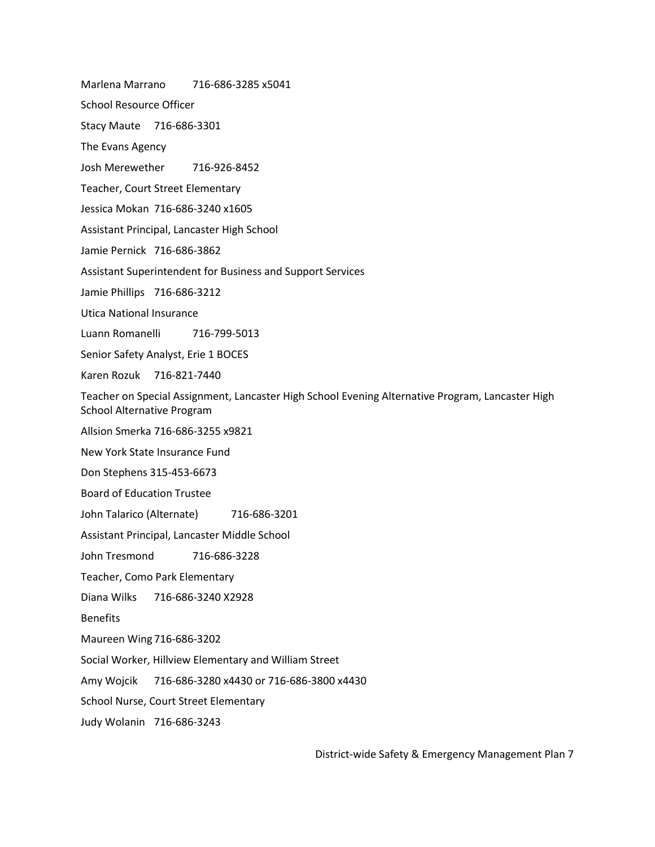Marlena Marrano 716-686-3285 x5041

School Resource Officer

Stacy Maute 716-686-3301

The Evans Agency

Josh Merewether 716-926-8452

Teacher, Court Street Elementary

Jessica Mokan 716-686-3240 x1605

Assistant Principal, Lancaster High School

Jamie Pernick 716-686-3862

Assistant Superintendent for Business and Support Services

Jamie Phillips 716-686-3212

Utica National Insurance

Luann Romanelli 716-799-5013

Senior Safety Analyst, Erie 1 BOCES

Karen Rozuk 716-821-7440

Teacher on Special Assignment, Lancaster High School Evening Alternative Program, Lancaster High School Alternative Program

Allsion Smerka 716-686-3255 x9821

New York State Insurance Fund

Don Stephens 315-453-6673

Board of Education Trustee

John Talarico (Alternate) 716-686-3201

Assistant Principal, Lancaster Middle School

John Tresmond 716-686-3228

Teacher, Como Park Elementary

Diana Wilks 716-686-3240 X2928

**Benefits** 

Maureen Wing 716-686-3202

Social Worker, Hillview Elementary and William Street

Amy Wojcik 716-686-3280 x4430 or 716-686-3800 x4430

School Nurse, Court Street Elementary

Judy Wolanin 716-686-3243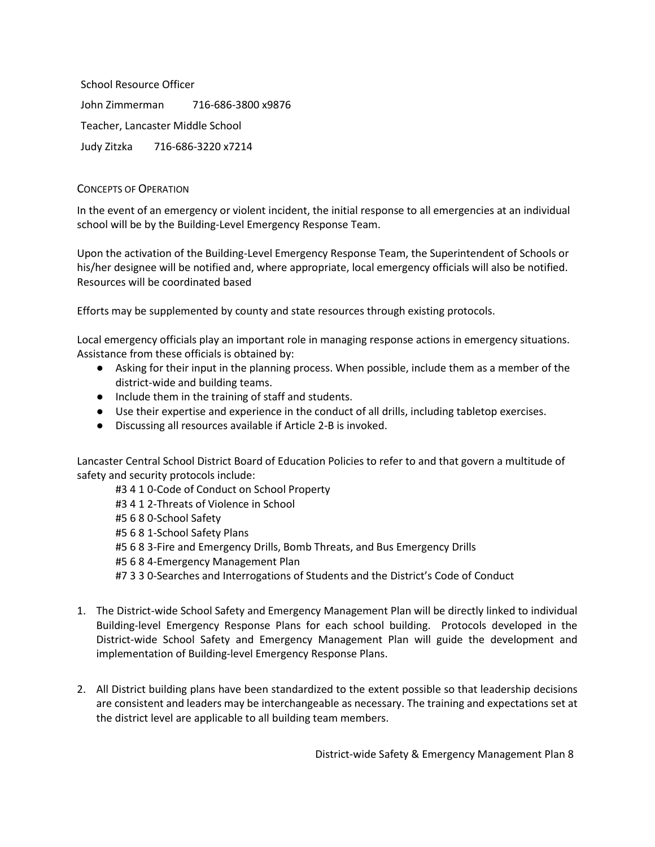School Resource Officer John Zimmerman 716-686-3800 x9876 Teacher, Lancaster Middle School Judy Zitzka 716-686-3220 x7214

## CONCEPTS OF OPERATION

In the event of an emergency or violent incident, the initial response to all emergencies at an individual school will be by the Building-Level Emergency Response Team.

Upon the activation of the Building-Level Emergency Response Team, the Superintendent of Schools or his/her designee will be notified and, where appropriate, local emergency officials will also be notified. Resources will be coordinated based

Efforts may be supplemented by county and state resources through existing protocols.

Local emergency officials play an important role in managing response actions in emergency situations. Assistance from these officials is obtained by:

- Asking for their input in the planning process. When possible, include them as a member of the district-wide and building teams.
- Include them in the training of staff and students.
- Use their expertise and experience in the conduct of all drills, including tabletop exercises.
- Discussing all resources available if Article 2-B is invoked.

Lancaster Central School District Board of Education Policies to refer to and that govern a multitude of safety and security protocols include:

#3 4 1 0-Code of Conduct on School Property #3 4 1 2-Threats of Violence in School #5 6 8 0-School Safety #5 6 8 1-School Safety Plans #5 6 8 3-Fire and Emergency Drills, Bomb Threats, and Bus Emergency Drills #5 6 8 4-Emergency Management Plan #7 3 3 0-Searches and Interrogations of Students and the District's Code of Conduct

- 1. The District-wide School Safety and Emergency Management Plan will be directly linked to individual Building-level Emergency Response Plans for each school building. Protocols developed in the District-wide School Safety and Emergency Management Plan will guide the development and implementation of Building-level Emergency Response Plans.
- 2. All District building plans have been standardized to the extent possible so that leadership decisions are consistent and leaders may be interchangeable as necessary. The training and expectations set at the district level are applicable to all building team members.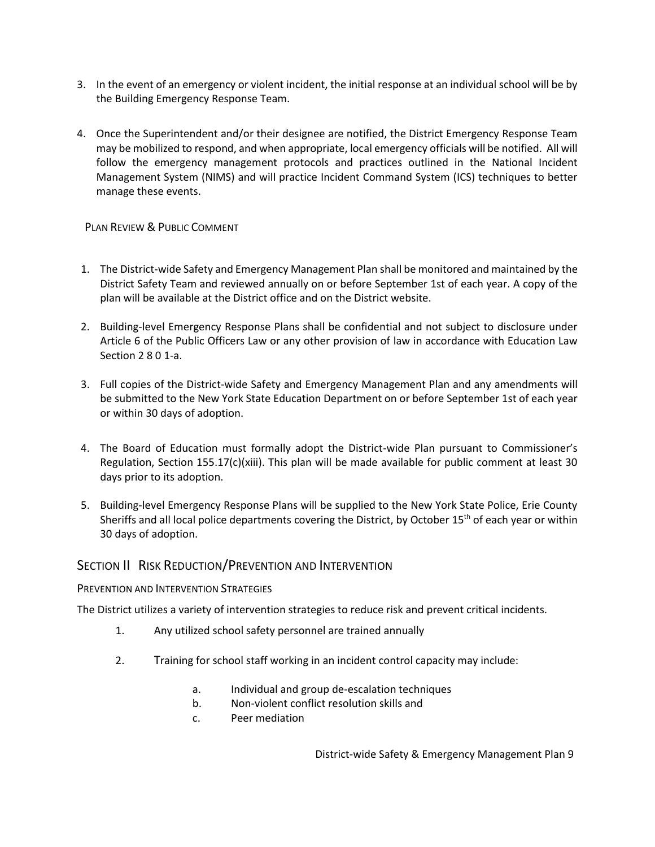- 3. In the event of an emergency or violent incident, the initial response at an individual school will be by the Building Emergency Response Team.
- 4. Once the Superintendent and/or their designee are notified, the District Emergency Response Team may be mobilized to respond, and when appropriate, local emergency officials will be notified. All will follow the emergency management protocols and practices outlined in the National Incident Management System (NIMS) and will practice Incident Command System (ICS) techniques to better manage these events.

## <span id="page-9-0"></span>PLAN REVIEW & PUBLIC COMMENT

- 1. The District-wide Safety and Emergency Management Plan shall be monitored and maintained by the District Safety Team and reviewed annually on or before September 1st of each year. A copy of the plan will be available at the District office and on the District website.
- 2. Building-level Emergency Response Plans shall be confidential and not subject to disclosure under Article 6 of the Public Officers Law or any other provision of law in accordance with Education Law Section 2 8 0 1-a.
- 3. Full copies of the District-wide Safety and Emergency Management Plan and any amendments will be submitted to the New York State Education Department on or before September 1st of each year or within 30 days of adoption.
- 4. The Board of Education must formally adopt the District-wide Plan pursuant to Commissioner's Regulation, Section 155.17(c)(xiii). This plan will be made available for public comment at least 30 days prior to its adoption.
- 5. Building-level Emergency Response Plans will be supplied to the New York State Police, Erie County Sheriffs and all local police departments covering the District, by October 15<sup>th</sup> of each year or within 30 days of adoption.

## <span id="page-9-1"></span>SECTION II RISK REDUCTION/PREVENTION AND INTERVENTION

## <span id="page-9-2"></span>PREVENTION AND INTERVENTION STRATEGIES

The District utilizes a variety of intervention strategies to reduce risk and prevent critical incidents.

- 1. Any utilized school safety personnel are trained annually
- 2. Training for school staff working in an incident control capacity may include:
	- a. Individual and group de-escalation techniques
	- b. Non-violent conflict resolution skills and
	- c. Peer mediation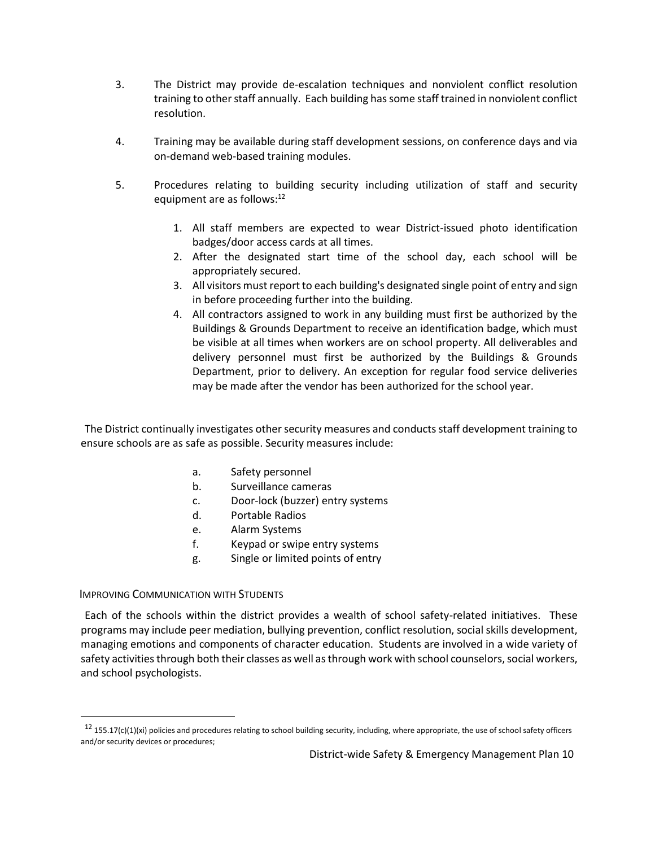- 3. The District may provide de-escalation techniques and nonviolent conflict resolution training to other staff annually. Each building has some staff trained in nonviolent conflict resolution.
- 4. Training may be available during staff development sessions, on conference days and via on-demand web-based training modules.
- 5. Procedures relating to building security including utilization of staff and security equipment are as follows:<sup>12</sup>
	- 1. All staff members are expected to wear District-issued photo identification badges/door access cards at all times.
	- 2. After the designated start time of the school day, each school will be appropriately secured.
	- 3. All visitors must report to each building's designated single point of entry and sign in before proceeding further into the building.
	- 4. All contractors assigned to work in any building must first be authorized by the Buildings & Grounds Department to receive an identification badge, which must be visible at all times when workers are on school property. All deliverables and delivery personnel must first be authorized by the Buildings & Grounds Department, prior to delivery. An exception for regular food service deliveries may be made after the vendor has been authorized for the school year.

The District continually investigates other security measures and conducts staff development training to ensure schools are as safe as possible. Security measures include:

- a. Safety personnel
- b. Surveillance cameras
- c. Door-lock (buzzer) entry systems
- d. Portable Radios
- e. Alarm Systems
- f. Keypad or swipe entry systems
- g. Single or limited points of entry

## <span id="page-10-0"></span>IMPROVING COMMUNICATION WITH STUDENTS

 $\overline{a}$ 

Each of the schools within the district provides a wealth of school safety-related initiatives. These programs may include peer mediation, bullying prevention, conflict resolution, social skills development, managing emotions and components of character education. Students are involved in a wide variety of safety activities through both their classes as well as through work with school counselors, social workers, and school psychologists.

 $12$  155.17(c)(1)(xi) policies and procedures relating to school building security, including, where appropriate, the use of school safety officers and/or security devices or procedures;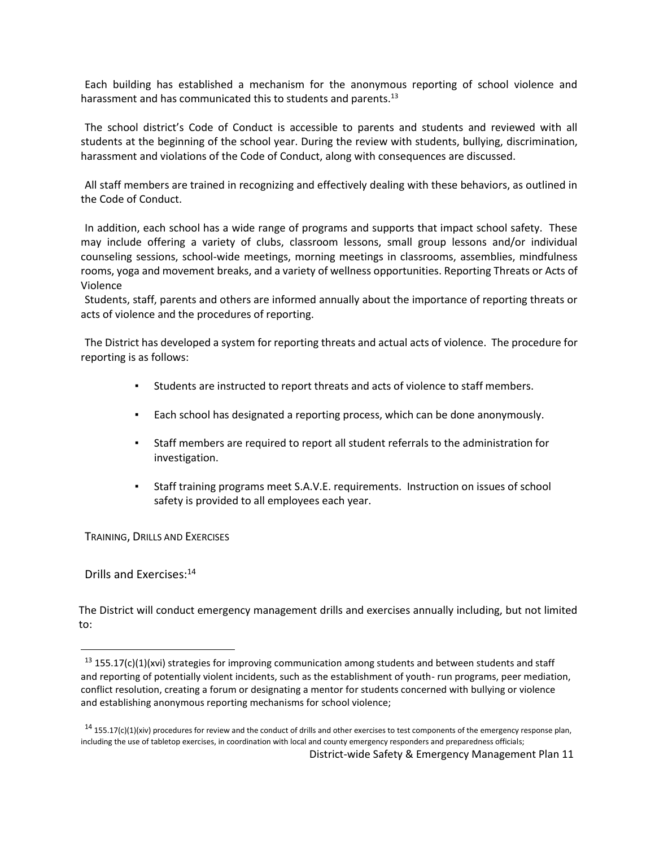Each building has established a mechanism for the anonymous reporting of school violence and harassment and has communicated this to students and parents.<sup>13</sup>

The school district's Code of Conduct is accessible to parents and students and reviewed with all students at the beginning of the school year. During the review with students, bullying, discrimination, harassment and violations of the Code of Conduct, along with consequences are discussed.

All staff members are trained in recognizing and effectively dealing with these behaviors, as outlined in the Code of Conduct.

In addition, each school has a wide range of programs and supports that impact school safety. These may include offering a variety of clubs, classroom lessons, small group lessons and/or individual counseling sessions, school-wide meetings, morning meetings in classrooms, assemblies, mindfulness rooms, yoga and movement breaks, and a variety of wellness opportunities. Reporting Threats or Acts of Violence

Students, staff, parents and others are informed annually about the importance of reporting threats or acts of violence and the procedures of reporting.

The District has developed a system for reporting threats and actual acts of violence. The procedure for reporting is as follows:

- Students are instructed to report threats and acts of violence to staff members.
- Each school has designated a reporting process, which can be done anonymously.
- Staff members are required to report all student referrals to the administration for investigation.
- Staff training programs meet S.A.V.E. requirements. Instruction on issues of school safety is provided to all employees each year.

<span id="page-11-0"></span>TRAINING, DRILLS AND EXERCISES

Drills and Exercises:<sup>14</sup>

 $\overline{a}$ 

The District will conduct emergency management drills and exercises annually including, but not limited to:

 $13$  155.17(c)(1)(xvi) strategies for improving communication among students and between students and staff and reporting of potentially violent incidents, such as the establishment of youth- run programs, peer mediation, conflict resolution, creating a forum or designating a mentor for students concerned with bullying or violence and establishing anonymous reporting mechanisms for school violence;

 $14$  155.17(c)(1)(xiv) procedures for review and the conduct of drills and other exercises to test components of the emergency response plan, including the use of tabletop exercises, in coordination with local and county emergency responders and preparedness officials;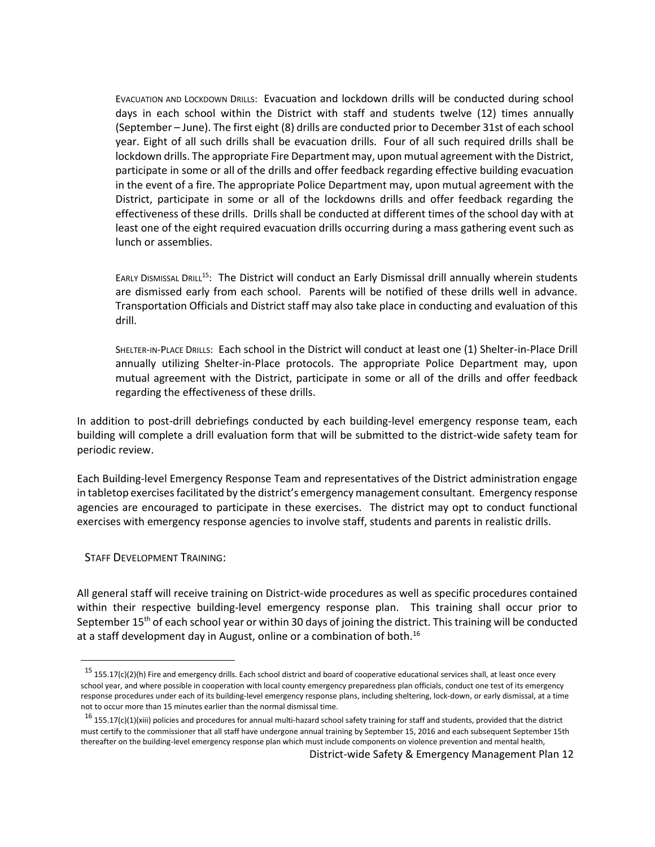EVACUATION AND LOCKDOWN DRILLS: Evacuation and lockdown drills will be conducted during school days in each school within the District with staff and students twelve (12) times annually (September – June). The first eight (8) drills are conducted prior to December 31st of each school year. Eight of all such drills shall be evacuation drills. Four of all such required drills shall be lockdown drills. The appropriate Fire Department may, upon mutual agreement with the District, participate in some or all of the drills and offer feedback regarding effective building evacuation in the event of a fire. The appropriate Police Department may, upon mutual agreement with the District, participate in some or all of the lockdowns drills and offer feedback regarding the effectiveness of these drills. Drills shall be conducted at different times of the school day with at least one of the eight required evacuation drills occurring during a mass gathering event such as lunch or assemblies.

EARLY DISMISSAL DRILL<sup>15</sup>: The District will conduct an Early Dismissal drill annually wherein students are dismissed early from each school. Parents will be notified of these drills well in advance. Transportation Officials and District staff may also take place in conducting and evaluation of this drill.

SHELTER-IN-PLACE DRILLS: Each school in the District will conduct at least one (1) Shelter-in-Place Drill annually utilizing Shelter-in-Place protocols. The appropriate Police Department may, upon mutual agreement with the District, participate in some or all of the drills and offer feedback regarding the effectiveness of these drills.

In addition to post-drill debriefings conducted by each building-level emergency response team, each building will complete a drill evaluation form that will be submitted to the district-wide safety team for periodic review.

Each Building-level Emergency Response Team and representatives of the District administration engage in tabletop exercises facilitated by the district's emergency management consultant. Emergency response agencies are encouraged to participate in these exercises. The district may opt to conduct functional exercises with emergency response agencies to involve staff, students and parents in realistic drills.

<span id="page-12-0"></span>STAFF DEVELOPMENT TRAINING:

 $\ddot{\phantom{a}}$ 

All general staff will receive training on District-wide procedures as well as specific procedures contained within their respective building-level emergency response plan. This training shall occur prior to September 15<sup>th</sup> of each school year or within 30 days of joining the district. This training will be conducted at a staff development day in August, online or a combination of both.<sup>16</sup>

 $15$  155.17(c)(2)(h) Fire and emergency drills. Each school district and board of cooperative educational services shall, at least once every school year, and where possible in cooperation with local county emergency preparedness plan officials, conduct one test of its emergency response procedures under each of its building-level emergency response plans, including sheltering, lock-down, or early dismissal, at a time not to occur more than 15 minutes earlier than the normal dismissal time.

 $16$  155.17(c)(1)(xiii) policies and procedures for annual multi-hazard school safety training for staff and students, provided that the district must certify to the commissioner that all staff have undergone annual training by September 15, 2016 and each subsequent September 15th thereafter on the building-level emergency response plan which must include components on violence prevention and mental health,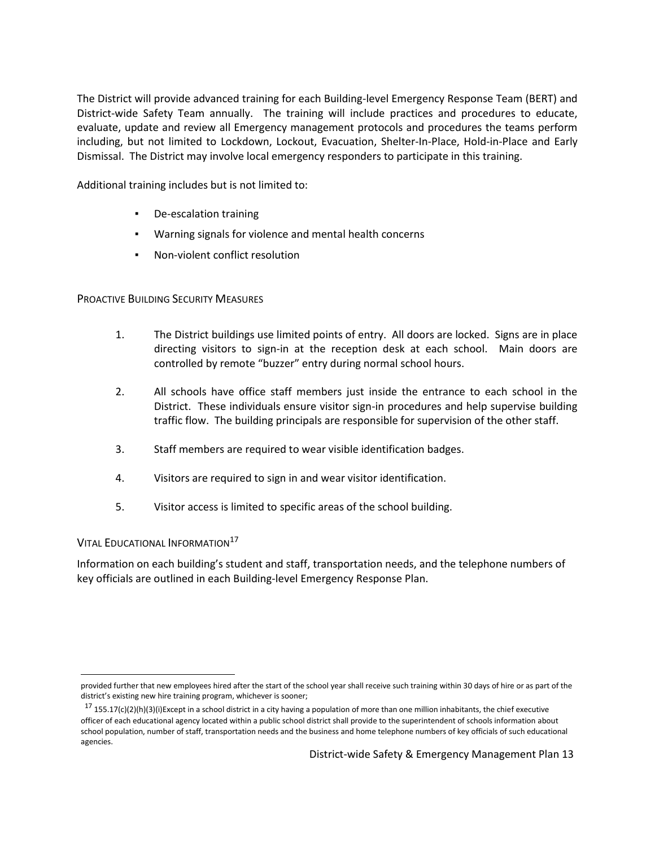The District will provide advanced training for each Building-level Emergency Response Team (BERT) and District-wide Safety Team annually. The training will include practices and procedures to educate, evaluate, update and review all Emergency management protocols and procedures the teams perform including, but not limited to Lockdown, Lockout, Evacuation, Shelter-In-Place, Hold-in-Place and Early Dismissal. The District may involve local emergency responders to participate in this training.

Additional training includes but is not limited to:

- De-escalation training
- Warning signals for violence and mental health concerns
- Non-violent conflict resolution

<span id="page-13-0"></span>PROACTIVE BUILDING SECURITY MEASURES

- 1. The District buildings use limited points of entry. All doors are locked. Signs are in place directing visitors to sign-in at the reception desk at each school. Main doors are controlled by remote "buzzer" entry during normal school hours.
- 2. All schools have office staff members just inside the entrance to each school in the District. These individuals ensure visitor sign-in procedures and help supervise building traffic flow. The building principals are responsible for supervision of the other staff.
- 3. Staff members are required to wear visible identification badges.
- 4. Visitors are required to sign in and wear visitor identification.
- 5. Visitor access is limited to specific areas of the school building.

<span id="page-13-1"></span>VITAL EDUCATIONAL INFORMATION<sup>17</sup>

Information on each building's student and staff, transportation needs, and the telephone numbers of key officials are outlined in each Building-level Emergency Response Plan.

 $\overline{a}$ provided further that new employees hired after the start of the school year shall receive such training within 30 days of hire or as part of the district's existing new hire training program, whichever is sooner;

 $17$  155.17(c)(2)(h)(3)(i)Except in a school district in a city having a population of more than one million inhabitants, the chief executive officer of each educational agency located within a public school district shall provide to the superintendent of schools information about school population, number of staff, transportation needs and the business and home telephone numbers of key officials of such educational agencies.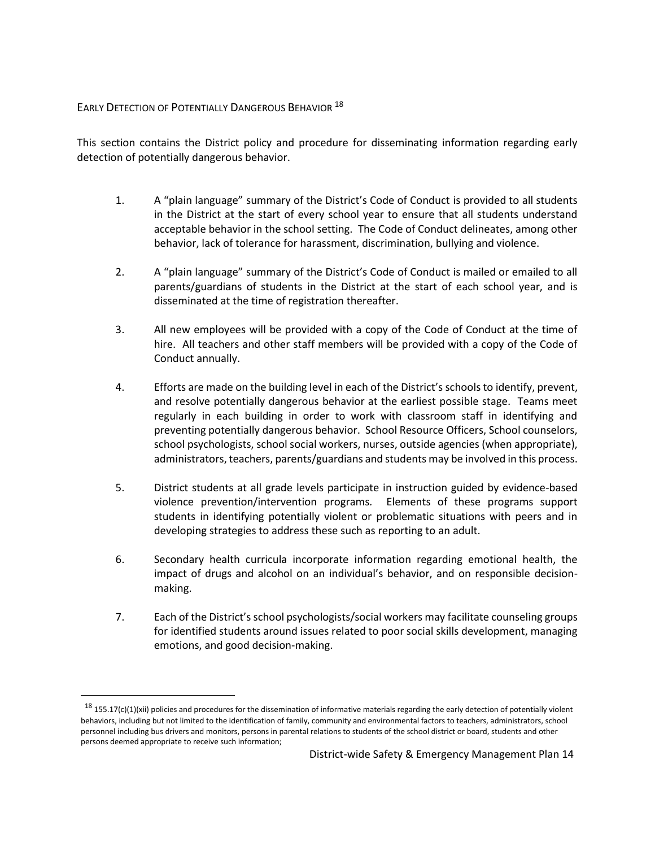## <span id="page-14-0"></span>EARLY DETECTION OF POTENTIALLY DANGEROUS BEHAVIOR<sup>18</sup>

 $\overline{a}$ 

This section contains the District policy and procedure for disseminating information regarding early detection of potentially dangerous behavior.

- 1. A "plain language" summary of the District's Code of Conduct is provided to all students in the District at the start of every school year to ensure that all students understand acceptable behavior in the school setting. The Code of Conduct delineates, among other behavior, lack of tolerance for harassment, discrimination, bullying and violence.
- 2. A "plain language" summary of the District's Code of Conduct is mailed or emailed to all parents/guardians of students in the District at the start of each school year, and is disseminated at the time of registration thereafter.
- 3. All new employees will be provided with a copy of the Code of Conduct at the time of hire. All teachers and other staff members will be provided with a copy of the Code of Conduct annually.
- 4. Efforts are made on the building level in each of the District's schools to identify, prevent, and resolve potentially dangerous behavior at the earliest possible stage. Teams meet regularly in each building in order to work with classroom staff in identifying and preventing potentially dangerous behavior. School Resource Officers, School counselors, school psychologists, school social workers, nurses, outside agencies (when appropriate), administrators, teachers, parents/guardians and students may be involved in this process.
- 5. District students at all grade levels participate in instruction guided by evidence-based violence prevention/intervention programs*.* Elements of these programs support students in identifying potentially violent or problematic situations with peers and in developing strategies to address these such as reporting to an adult.
- 6. Secondary health curricula incorporate information regarding emotional health, the impact of drugs and alcohol on an individual's behavior, and on responsible decisionmaking.
- 7. Each of the District's school psychologists/social workers may facilitate counseling groups for identified students around issues related to poor social skills development, managing emotions, and good decision-making.

 $^{18}$  155.17(c)(1)(xii) policies and procedures for the dissemination of informative materials regarding the early detection of potentially violent behaviors, including but not limited to the identification of family, community and environmental factors to teachers, administrators, school personnel including bus drivers and monitors, persons in parental relations to students of the school district or board, students and other persons deemed appropriate to receive such information;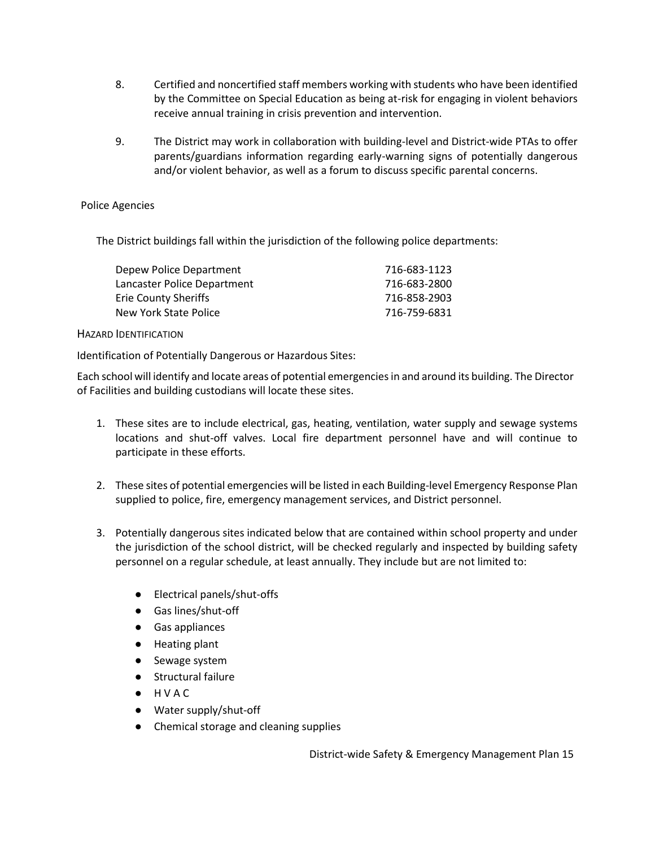- 8. Certified and noncertified staff members working with students who have been identified by the Committee on Special Education as being at-risk for engaging in violent behaviors receive annual training in crisis prevention and intervention.
- 9. The District may work in collaboration with building-level and District-wide PTAs to offer parents/guardians information regarding early-warning signs of potentially dangerous and/or violent behavior, as well as a forum to discuss specific parental concerns.

## Police Agencies

The District buildings fall within the jurisdiction of the following police departments:

| 716-683-1123 |
|--------------|
| 716-683-2800 |
| 716-858-2903 |
| 716-759-6831 |
|              |

## <span id="page-15-0"></span>HAZARD IDENTIFICATION

Identification of Potentially Dangerous or Hazardous Sites:

Each school will identify and locate areas of potential emergencies in and around its building. The Director of Facilities and building custodians will locate these sites.

- 1. These sites are to include electrical, gas, heating, ventilation, water supply and sewage systems locations and shut-off valves. Local fire department personnel have and will continue to participate in these efforts.
- 2. These sites of potential emergencies will be listed in each Building-level Emergency Response Plan supplied to police, fire, emergency management services, and District personnel.
- 3. Potentially dangerous sites indicated below that are contained within school property and under the jurisdiction of the school district, will be checked regularly and inspected by building safety personnel on a regular schedule, at least annually. They include but are not limited to:
	- Electrical panels/shut-offs
	- Gas lines/shut-off
	- Gas appliances
	- Heating plant
	- Sewage system
	- Structural failure
	- H V A C
	- Water supply/shut-off
	- Chemical storage and cleaning supplies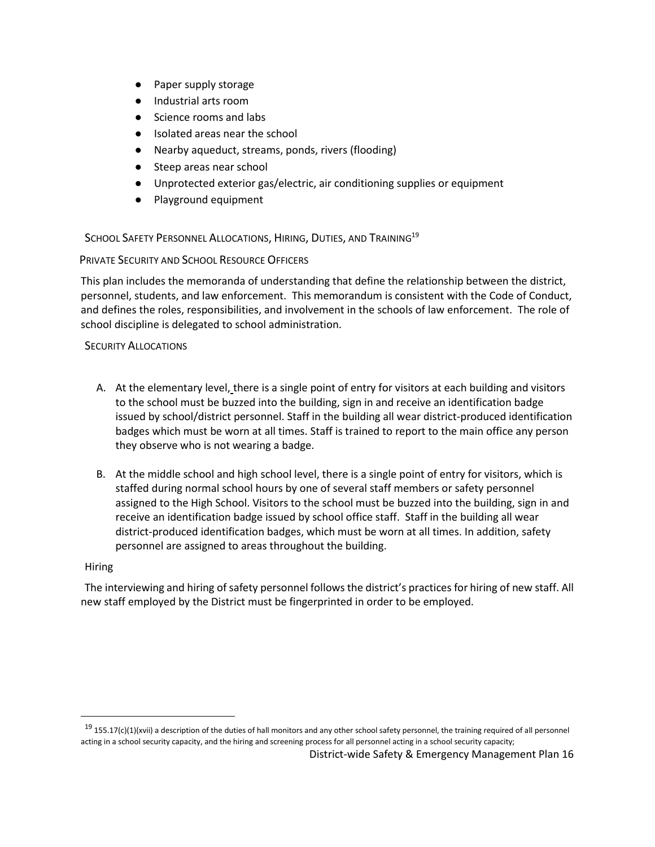- Paper supply storage
- Industrial arts room
- Science rooms and labs
- Isolated areas near the school
- Nearby aqueduct, streams, ponds, rivers (flooding)
- Steep areas near school
- Unprotected exterior gas/electric, air conditioning supplies or equipment
- Playground equipment

<span id="page-16-0"></span>SCHOOL SAFETY PERSONNEL ALLOCATIONS, HIRING, DUTIES, AND TRAINING<sup>19</sup>

## <span id="page-16-1"></span>PRIVATE SECURITY AND SCHOOL RESOURCE OFFICERS

This plan includes the memoranda of understanding that define the relationship between the district, personnel, students, and law enforcement. This memorandum is consistent with the Code of Conduct, and defines the roles, responsibilities, and involvement in the schools of law enforcement. The role of school discipline is delegated to school administration.

## <span id="page-16-2"></span>SECURITY ALLOCATIONS

- A. At the elementary level, there is a single point of entry for visitors at each building and visitors to the school must be buzzed into the building, sign in and receive an identification badge issued by school/district personnel. Staff in the building all wear district-produced identification badges which must be worn at all times. Staff is trained to report to the main office any person they observe who is not wearing a badge.
- B. At the middle school and high school level, there is a single point of entry for visitors, which is staffed during normal school hours by one of several staff members or safety personnel assigned to the High School. Visitors to the school must be buzzed into the building, sign in and receive an identification badge issued by school office staff. Staff in the building all wear district-produced identification badges, which must be worn at all times. In addition, safety personnel are assigned to areas throughout the building.

## Hiring

 $\overline{a}$ 

The interviewing and hiring of safety personnel follows the district's practices for hiring of new staff. All new staff employed by the District must be fingerprinted in order to be employed.

 $19$  155.17(c)(1)(xvii) a description of the duties of hall monitors and any other school safety personnel, the training required of all personnel acting in a school security capacity, and the hiring and screening process for all personnel acting in a school security capacity;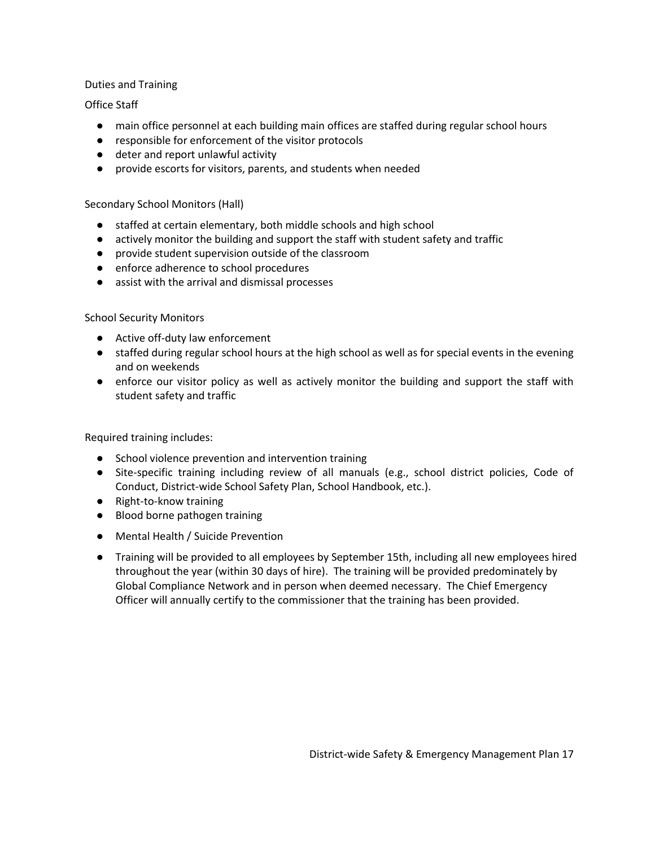## Duties and Training

## Office Staff

- main office personnel at each building main offices are staffed during regular school hours
- responsible for enforcement of the visitor protocols
- deter and report unlawful activity
- provide escorts for visitors, parents, and students when needed

## Secondary School Monitors (Hall)

- staffed at certain elementary, both middle schools and high school
- actively monitor the building and support the staff with student safety and traffic
- provide student supervision outside of the classroom
- enforce adherence to school procedures
- assist with the arrival and dismissal processes

## School Security Monitors

- Active off-duty law enforcement
- staffed during regular school hours at the high school as well as for special events in the evening and on weekends
- enforce our visitor policy as well as actively monitor the building and support the staff with student safety and traffic

Required training includes:

- School violence prevention and intervention training
- Site-specific training including review of all manuals (e.g., school district policies, Code of Conduct, District-wide School Safety Plan, School Handbook, etc.).
- Right-to-know training
- Blood borne pathogen training
- Mental Health / Suicide Prevention
- Training will be provided to all employees by September 15th, including all new employees hired throughout the year (within 30 days of hire). The training will be provided predominately by Global Compliance Network and in person when deemed necessary. The Chief Emergency Officer will annually certify to the commissioner that the training has been provided.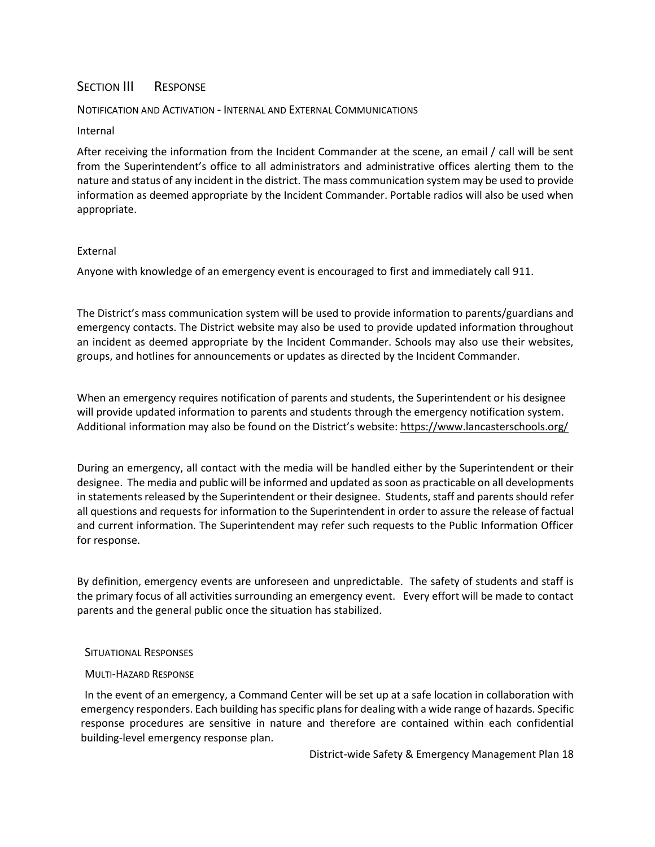## <span id="page-18-0"></span>SECTION III RESPONSE

### <span id="page-18-1"></span>NOTIFICATION AND ACTIVATION - INTERNAL AND EXTERNAL COMMUNICATIONS

#### Internal

After receiving the information from the Incident Commander at the scene, an email / call will be sent from the Superintendent's office to all administrators and administrative offices alerting them to the nature and status of any incident in the district. The mass communication system may be used to provide information as deemed appropriate by the Incident Commander. Portable radios will also be used when appropriate.

#### External

Anyone with knowledge of an emergency event is encouraged to first and immediately call 911.

The District's mass communication system will be used to provide information to parents/guardians and emergency contacts. The District website may also be used to provide updated information throughout an incident as deemed appropriate by the Incident Commander. Schools may also use their websites, groups, and hotlines for announcements or updates as directed by the Incident Commander.

When an emergency requires notification of parents and students, the Superintendent or his designee will provide updated information to parents and students through the emergency notification system. Additional information may also be found on the District's website:<https://www.lancasterschools.org/>

During an emergency, all contact with the media will be handled either by the Superintendent or their designee. The media and public will be informed and updated as soon as practicable on all developments in statements released by the Superintendent or their designee. Students, staff and parents should refer all questions and requests for information to the Superintendent in order to assure the release of factual and current information. The Superintendent may refer such requests to the Public Information Officer for response.

By definition, emergency events are unforeseen and unpredictable. The safety of students and staff is the primary focus of all activities surrounding an emergency event. Every effort will be made to contact parents and the general public once the situation has stabilized.

#### <span id="page-18-2"></span>SITUATIONAL RESPONSES

## <span id="page-18-3"></span>MULTI-HAZARD RESPONSE

In the event of an emergency, a Command Center will be set up at a safe location in collaboration with emergency responders. Each building has specific plans for dealing with a wide range of hazards. Specific response procedures are sensitive in nature and therefore are contained within each confidential building-level emergency response plan.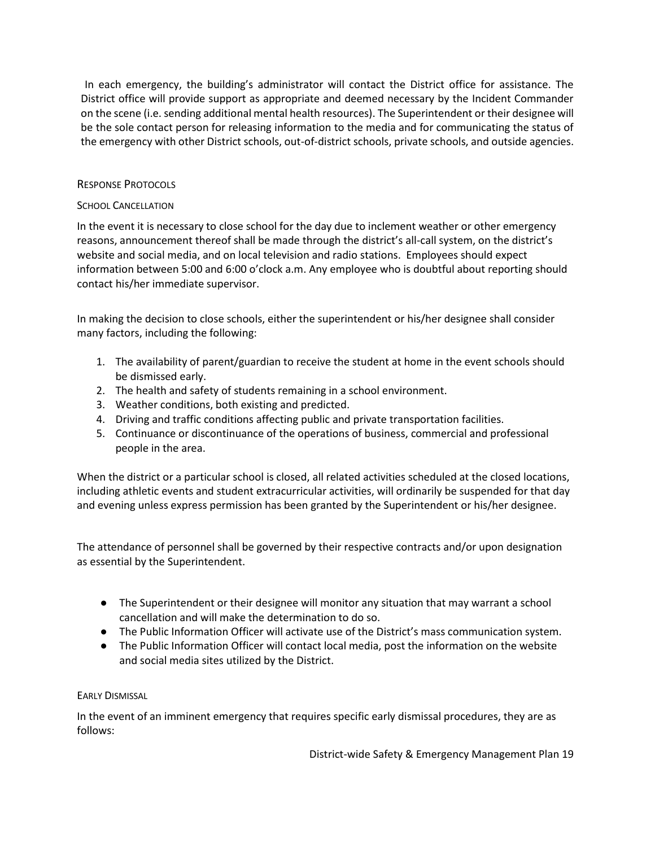In each emergency, the building's administrator will contact the District office for assistance. The District office will provide support as appropriate and deemed necessary by the Incident Commander on the scene (i.e. sending additional mental health resources). The Superintendent or their designee will be the sole contact person for releasing information to the media and for communicating the status of the emergency with other District schools, out-of-district schools, private schools, and outside agencies.

## <span id="page-19-0"></span>RESPONSE PROTOCOLS

## <span id="page-19-1"></span>SCHOOL CANCELLATION

In the event it is necessary to close school for the day due to inclement weather or other emergency reasons, announcement thereof shall be made through the district's all-call system, on the district's website and social media, and on local television and radio stations. Employees should expect information between 5:00 and 6:00 o'clock a.m. Any employee who is doubtful about reporting should contact his/her immediate supervisor.

In making the decision to close schools, either the superintendent or his/her designee shall consider many factors, including the following:

- 1. The availability of parent/guardian to receive the student at home in the event schools should be dismissed early.
- 2. The health and safety of students remaining in a school environment.
- 3. Weather conditions, both existing and predicted.
- 4. Driving and traffic conditions affecting public and private transportation facilities.
- 5. Continuance or discontinuance of the operations of business, commercial and professional people in the area.

When the district or a particular school is closed, all related activities scheduled at the closed locations, including athletic events and student extracurricular activities, will ordinarily be suspended for that day and evening unless express permission has been granted by the Superintendent or his/her designee.

The attendance of personnel shall be governed by their respective contracts and/or upon designation as essential by the Superintendent.

- The Superintendent or their designee will monitor any situation that may warrant a school cancellation and will make the determination to do so.
- The Public Information Officer will activate use of the District's mass communication system.
- The Public Information Officer will contact local media, post the information on the website and social media sites utilized by the District.

## <span id="page-19-2"></span>EARLY DISMISSAL

In the event of an imminent emergency that requires specific early dismissal procedures, they are as follows: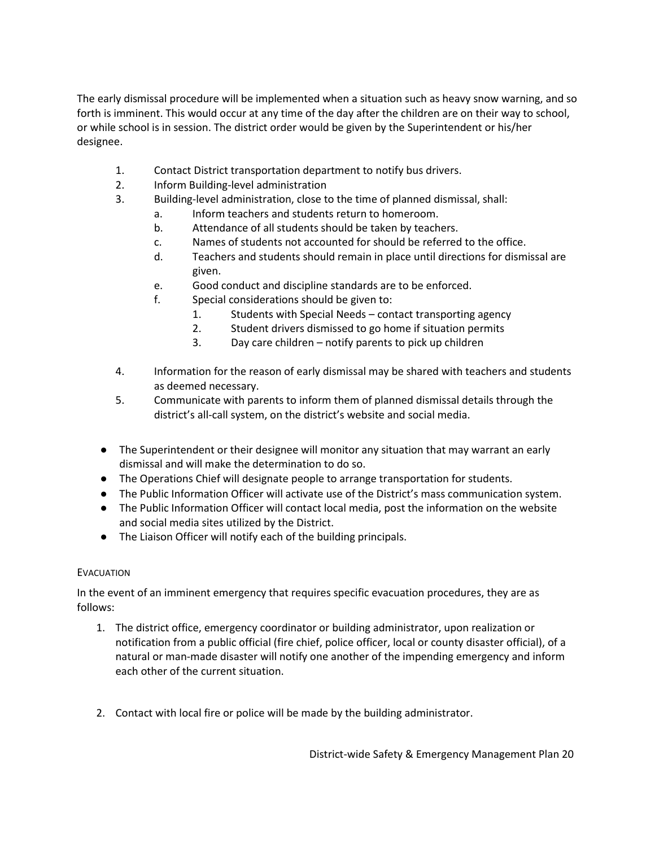The early dismissal procedure will be implemented when a situation such as heavy snow warning, and so forth is imminent. This would occur at any time of the day after the children are on their way to school, or while school is in session. The district order would be given by the Superintendent or his/her designee.

- 1. Contact District transportation department to notify bus drivers.
- 2. Inform Building-level administration
- 3. Building-level administration, close to the time of planned dismissal, shall:
	- a. Inform teachers and students return to homeroom.
	- b. Attendance of all students should be taken by teachers.
	- c. Names of students not accounted for should be referred to the office.
	- d. Teachers and students should remain in place until directions for dismissal are given.
	- e. Good conduct and discipline standards are to be enforced.
	- f. Special considerations should be given to:
		- 1. Students with Special Needs contact transporting agency
		- 2. Student drivers dismissed to go home if situation permits
		- 3. Day care children notify parents to pick up children
- 4. Information for the reason of early dismissal may be shared with teachers and students as deemed necessary.
- 5. Communicate with parents to inform them of planned dismissal details through the district's all-call system, on the district's website and social media.
- The Superintendent or their designee will monitor any situation that may warrant an early dismissal and will make the determination to do so.
- The Operations Chief will designate people to arrange transportation for students.
- The Public Information Officer will activate use of the District's mass communication system.
- The Public Information Officer will contact local media, post the information on the website and social media sites utilized by the District.
- The Liaison Officer will notify each of the building principals.

## <span id="page-20-0"></span>EVACUATION

In the event of an imminent emergency that requires specific evacuation procedures, they are as follows:

- 1. The district office, emergency coordinator or building administrator, upon realization or notification from a public official (fire chief, police officer, local or county disaster official), of a natural or man-made disaster will notify one another of the impending emergency and inform each other of the current situation.
- 2. Contact with local fire or police will be made by the building administrator.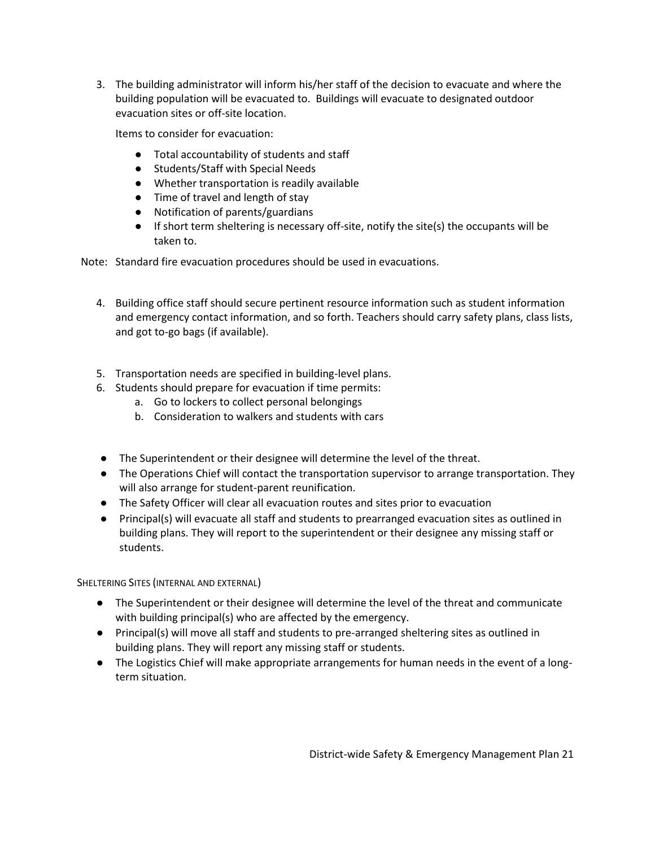3. The building administrator will inform his/her staff of the decision to evacuate and where the building population will be evacuated to. Buildings will evacuate to designated outdoor evacuation sites or off-site location.

Items to consider for evacuation:

- Total accountability of students and staff
- Students/Staff with Special Needs
- Whether transportation is readily available
- Time of travel and length of stay
- Notification of parents/guardians
- If short term sheltering is necessary off-site, notify the site(s) the occupants will be taken to.

Note: Standard fire evacuation procedures should be used in evacuations.

- 4. Building office staff should secure pertinent resource information such as student information and emergency contact information, and so forth. Teachers should carry safety plans, class lists, and got to-go bags (if available).
- 5. Transportation needs are specified in building-level plans.
- 6. Students should prepare for evacuation if time permits:
	- a. Go to lockers to collect personal belongings
	- b. Consideration to walkers and students with cars
- The Superintendent or their designee will determine the level of the threat.
- The Operations Chief will contact the transportation supervisor to arrange transportation. They will also arrange for student-parent reunification.
- The Safety Officer will clear all evacuation routes and sites prior to evacuation
- Principal(s) will evacuate all staff and students to prearranged evacuation sites as outlined in building plans. They will report to the superintendent or their designee any missing staff or students.

<span id="page-21-0"></span>SHELTERING SITES (INTERNAL AND EXTERNAL)

- The Superintendent or their designee will determine the level of the threat and communicate with building principal(s) who are affected by the emergency.
- Principal(s) will move all staff and students to pre-arranged sheltering sites as outlined in building plans. They will report any missing staff or students.
- The Logistics Chief will make appropriate arrangements for human needs in the event of a longterm situation.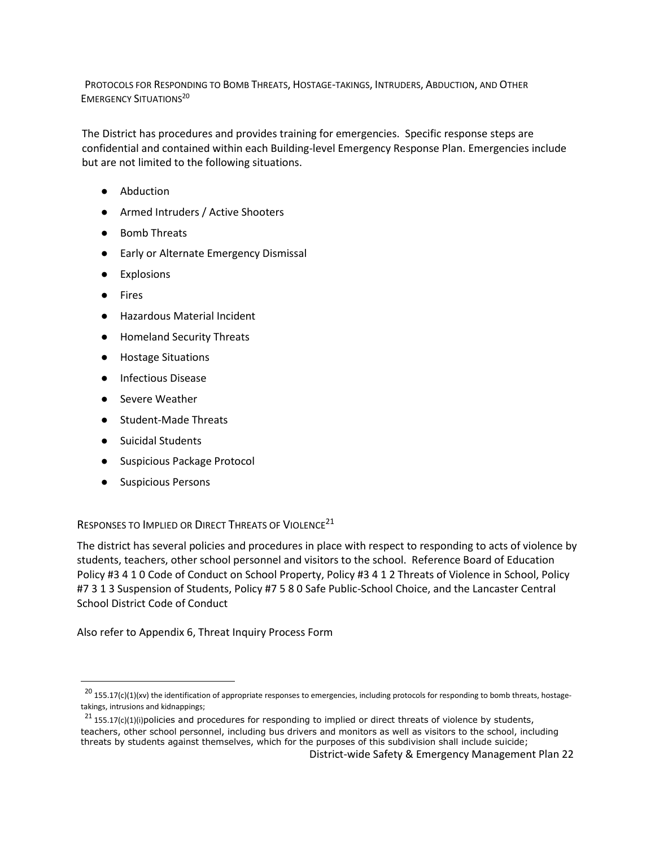<span id="page-22-0"></span>PROTOCOLS FOR RESPONDING TO BOMB THREATS, HOSTAGE-TAKINGS, INTRUDERS, ABDUCTION, AND OTHER **EMERGENCY SITUATIONS<sup>20</sup>** 

The District has procedures and provides training for emergencies. Specific response steps are confidential and contained within each Building-level Emergency Response Plan. Emergencies include but are not limited to the following situations.

- Abduction
- Armed Intruders / Active Shooters
- Bomb Threats
- Early or Alternate Emergency Dismissal
- **Explosions**
- Fires
- Hazardous Material Incident
- Homeland Security Threats
- Hostage Situations
- Infectious Disease
- Severe Weather
- Student-Made Threats
- Suicidal Students
- Suspicious Package Protocol
- Suspicious Persons

 $\overline{a}$ 

## <span id="page-22-1"></span>RESPONSES TO IMPLIED OR DIRECT THREATS OF VIOLENCE<sup>21</sup>

The district has several policies and procedures in place with respect to responding to acts of violence by students, teachers, other school personnel and visitors to the school. Reference Board of Education Policy #3 4 1 0 Code of Conduct on School Property, Policy #3 4 1 2 Threats of Violence in School, Policy #7 3 1 3 Suspension of Students, Policy #7 5 8 0 Safe Public-School Choice, and the Lancaster Central School District Code of Conduct

Also refer to Appendix 6, Threat Inquiry Process Form

 $^{20}$  155.17(c)(1)(xv) the identification of appropriate responses to emergencies, including protocols for responding to bomb threats, hostagetakings, intrusions and kidnappings;

 $^{21}$  155.17(c)(1)(i)policies and procedures for responding to implied or direct threats of violence by students, teachers, other school personnel, including bus drivers and monitors as well as visitors to the school, including threats by students against themselves, which for the purposes of this subdivision shall include suicide;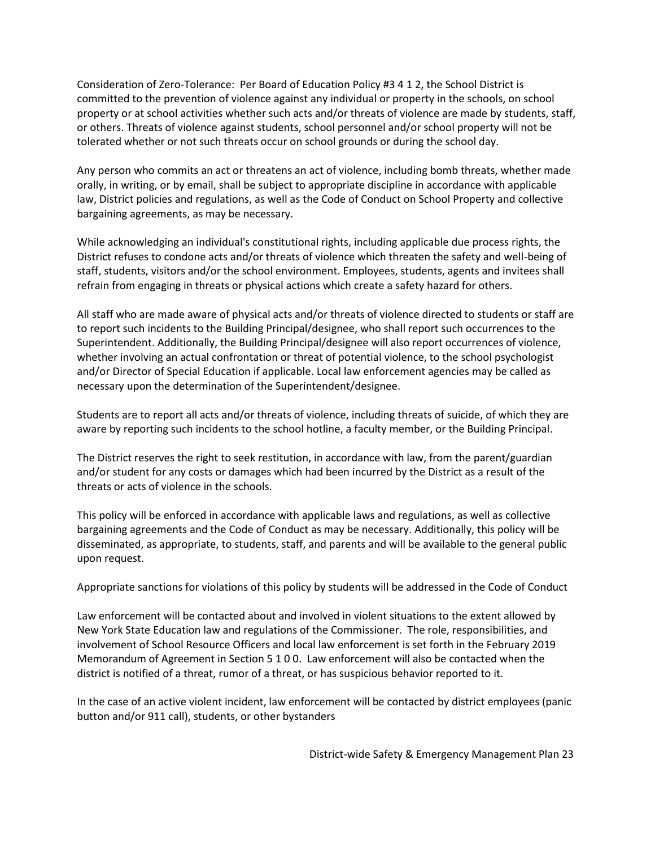Consideration of Zero-Tolerance: Per Board of Education Policy #3 4 1 2, the School District is committed to the prevention of violence against any individual or property in the schools, on school property or at school activities whether such acts and/or threats of violence are made by students, staff, or others. Threats of violence against students, school personnel and/or school property will not be tolerated whether or not such threats occur on school grounds or during the school day.

Any person who commits an act or threatens an act of violence, including bomb threats, whether made orally, in writing, or by email, shall be subject to appropriate discipline in accordance with applicable law, District policies and regulations, as well as the Code of Conduct on School Property and collective bargaining agreements, as may be necessary.

While acknowledging an individual's constitutional rights, including applicable due process rights, the District refuses to condone acts and/or threats of violence which threaten the safety and well-being of staff, students, visitors and/or the school environment. Employees, students, agents and invitees shall refrain from engaging in threats or physical actions which create a safety hazard for others.

All staff who are made aware of physical acts and/or threats of violence directed to students or staff are to report such incidents to the Building Principal/designee, who shall report such occurrences to the Superintendent. Additionally, the Building Principal/designee will also report occurrences of violence, whether involving an actual confrontation or threat of potential violence, to the school psychologist and/or Director of Special Education if applicable. Local law enforcement agencies may be called as necessary upon the determination of the Superintendent/designee.

Students are to report all acts and/or threats of violence, including threats of suicide, of which they are aware by reporting such incidents to the school hotline, a faculty member, or the Building Principal.

The District reserves the right to seek restitution, in accordance with law, from the parent/guardian and/or student for any costs or damages which had been incurred by the District as a result of the threats or acts of violence in the schools.

This policy will be enforced in accordance with applicable laws and regulations, as well as collective bargaining agreements and the Code of Conduct as may be necessary. Additionally, this policy will be disseminated, as appropriate, to students, staff, and parents and will be available to the general public upon request.

Appropriate sanctions for violations of this policy by students will be addressed in the Code of Conduct

Law enforcement will be contacted about and involved in violent situations to the extent allowed by New York State Education law and regulations of the Commissioner. The role, responsibilities, and involvement of School Resource Officers and local law enforcement is set forth in the February 2019 Memorandum of Agreement in Section 5 1 0 0. Law enforcement will also be contacted when the district is notified of a threat, rumor of a threat, or has suspicious behavior reported to it.

In the case of an active violent incident, law enforcement will be contacted by district employees (panic button and/or 911 call), students, or other bystanders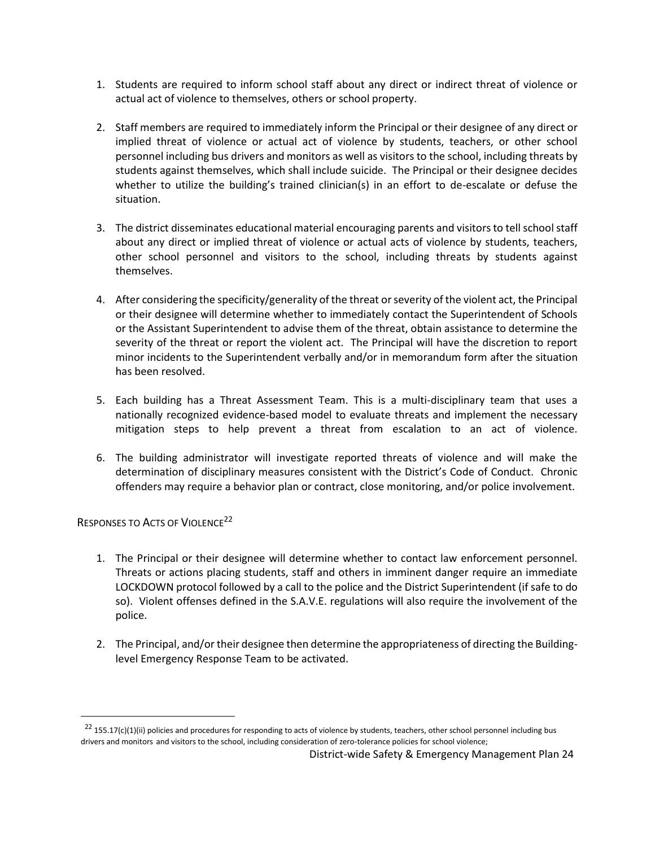- 1. Students are required to inform school staff about any direct or indirect threat of violence or actual act of violence to themselves, others or school property.
- 2. Staff members are required to immediately inform the Principal or their designee of any direct or implied threat of violence or actual act of violence by students, teachers, or other school personnel including bus drivers and monitors as well as visitors to the school, including threats by students against themselves, which shall include suicide. The Principal or their designee decides whether to utilize the building's trained clinician(s) in an effort to de-escalate or defuse the situation.
- 3. The district disseminates educational material encouraging parents and visitors to tell school staff about any direct or implied threat of violence or actual acts of violence by students, teachers, other school personnel and visitors to the school, including threats by students against themselves.
- 4. After considering the specificity/generality of the threat or severity of the violent act, the Principal or their designee will determine whether to immediately contact the Superintendent of Schools or the Assistant Superintendent to advise them of the threat, obtain assistance to determine the severity of the threat or report the violent act. The Principal will have the discretion to report minor incidents to the Superintendent verbally and/or in memorandum form after the situation has been resolved.
- 5. Each building has a Threat Assessment Team. This is a multi-disciplinary team that uses a nationally recognized evidence-based model to evaluate threats and implement the necessary mitigation steps to help prevent a threat from escalation to an act of violence.
- 6. The building administrator will investigate reported threats of violence and will make the determination of disciplinary measures consistent with the District's Code of Conduct. Chronic offenders may require a behavior plan or contract, close monitoring, and/or police involvement.

## <span id="page-24-0"></span>RESPONSES TO ACTS OF VIOLENCE<sup>22</sup>

 $\overline{a}$ 

- 1. The Principal or their designee will determine whether to contact law enforcement personnel. Threats or actions placing students, staff and others in imminent danger require an immediate LOCKDOWN protocol followed by a call to the police and the District Superintendent (if safe to do so). Violent offenses defined in the S.A.V.E. regulations will also require the involvement of the police.
- 2. The Principal, and/or their designee then determine the appropriateness of directing the Buildinglevel Emergency Response Team to be activated.

 $22$  155.17(c)(1)(ii) policies and procedures for responding to acts of violence by students, teachers, other school personnel including bus drivers and monitors and visitors to the school, including consideration of zero-tolerance policies for school violence;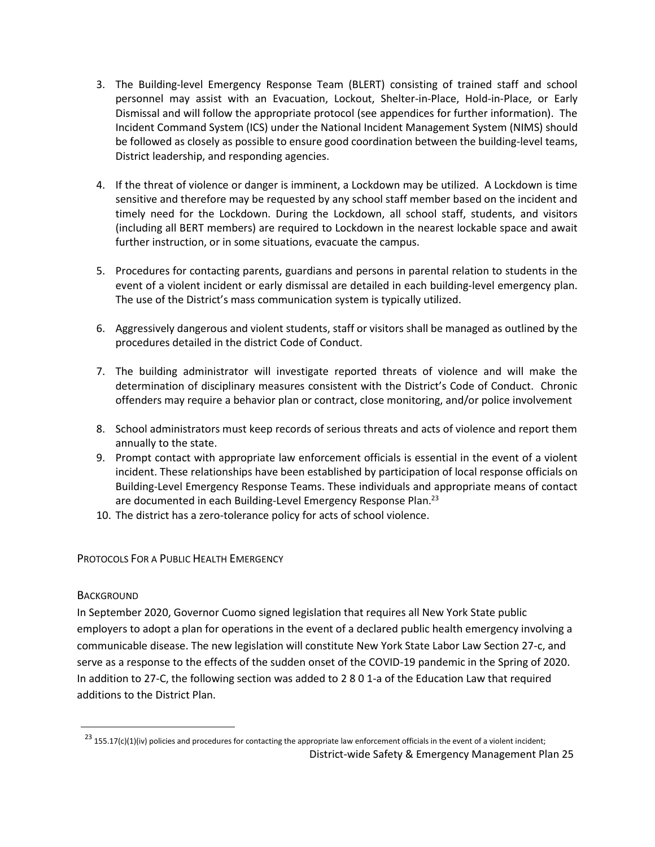- 3. The Building-level Emergency Response Team (BLERT) consisting of trained staff and school personnel may assist with an Evacuation, Lockout, Shelter-in-Place, Hold-in-Place, or Early Dismissal and will follow the appropriate protocol (see appendices for further information). The Incident Command System (ICS) under the National Incident Management System (NIMS) should be followed as closely as possible to ensure good coordination between the building-level teams, District leadership, and responding agencies.
- 4. If the threat of violence or danger is imminent, a Lockdown may be utilized. A Lockdown is time sensitive and therefore may be requested by any school staff member based on the incident and timely need for the Lockdown. During the Lockdown, all school staff, students, and visitors (including all BERT members) are required to Lockdown in the nearest lockable space and await further instruction, or in some situations, evacuate the campus.
- 5. Procedures for contacting parents, guardians and persons in parental relation to students in the event of a violent incident or early dismissal are detailed in each building-level emergency plan. The use of the District's mass communication system is typically utilized.
- 6. Aggressively dangerous and violent students, staff or visitors shall be managed as outlined by the procedures detailed in the district Code of Conduct.
- 7. The building administrator will investigate reported threats of violence and will make the determination of disciplinary measures consistent with the District's Code of Conduct. Chronic offenders may require a behavior plan or contract, close monitoring, and/or police involvement
- 8. School administrators must keep records of serious threats and acts of violence and report them annually to the state.
- 9. Prompt contact with appropriate law enforcement officials is essential in the event of a violent incident. These relationships have been established by participation of local response officials on Building-Level Emergency Response Teams. These individuals and appropriate means of contact are documented in each Building-Level Emergency Response Plan.<sup>23</sup>
- 10. The district has a zero-tolerance policy for acts of school violence.

## <span id="page-25-0"></span>PROTOCOLS FOR A PUBLIC HEALTH EMERGENCY

## <span id="page-25-1"></span>**BACKGROUND**

 $\ddot{\phantom{a}}$ 

In September 2020, Governor Cuomo signed legislation that requires all New York State public employers to adopt a plan for operations in the event of a declared public health emergency involving a communicable disease. The new legislation will constitute New York State Labor Law [Section 27-c,](https://altarisgroup.lt.acemlna.com/Prod/link-tracker?notrack=1¬rack=1&redirectUrl=aHR0cHMlM0ElMkYlMkZ3d3cubnlzZW5hdGUuZ292JTJGbGVnaXNsYXRpb24lMkZsYXdzJTJGTEFCJTJGMjctQw==&a=475248217&account=altarisgroup%2Eactivehosted%2Ecom&email=LRRV6glqIfcVPcYsJBrMHi%2FZD%2BmsUFpJrc5fHf6IoVE%3D&s=bad97c655476f96a390a72c05a742011&i=313A10521A21A1268) and serve as a response to the effects of the sudden onset of the COVID-19 pandemic in the Spring of 2020. In addition to 27-C, the following section was added t[o 2 8 0 1-a of the Education Law](https://altarisgroup.lt.acemlna.com/Prod/link-tracker?notrack=1¬rack=1&redirectUrl=aHR0cHMlM0ElMkYlMkZ3d3cubnlzZW5hdGUuZ292JTJGbGVnaXNsYXRpb24lMkZsYXdzJTJGRUROJTJGMjgwMS1B&a=475248217&account=altarisgroup%2Eactivehosted%2Ecom&email=LRRV6glqIfcVPcYsJBrMHi%2FZD%2BmsUFpJrc5fHf6IoVE%3D&s=bad97c655476f96a390a72c05a742011&i=313A10521A21A1269) that required additions to the District Plan.

District-wide Safety & Emergency Management Plan 25  $^{23}$  155.17(c)(1)(iv) policies and procedures for contacting the appropriate law enforcement officials in the event of a violent incident;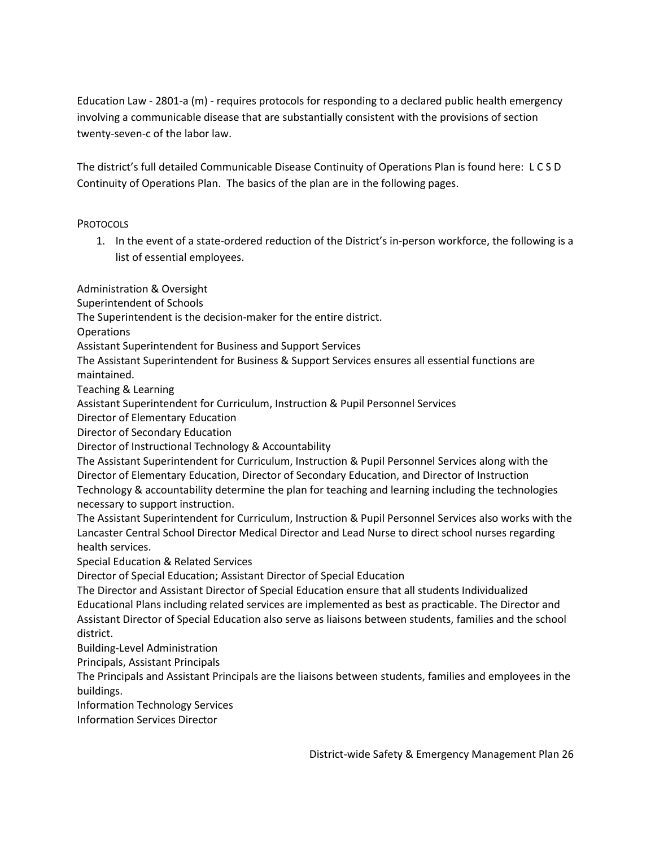Education Law - 2801-a (m) - requires protocols for responding to a declared public health emergency involving a communicable disease that are substantially consistent with the provisions of section twenty-seven-c of the labor law.

The district's full detailed Communicable Disease Continuity of Operations Plan is found here: [L C S D](https://www.lancasterschools.org/cms/lib/NY19000266/Centricity/Domain/1855/LCSD%20Continuity%20of%20Operations%20Plan%202-15-2021.pdf)  [Continuity of Operations Plan.](https://www.lancasterschools.org/cms/lib/NY19000266/Centricity/Domain/1855/LCSD%20Continuity%20of%20Operations%20Plan%202-15-2021.pdf) The basics of the plan are in the following pages.

## <span id="page-26-0"></span>**PROTOCOLS**

1. In the event of a state-ordered reduction of the District's in-person workforce, the following is a list of essential employees.

Administration & Oversight

Superintendent of Schools

The Superintendent is the decision-maker for the entire district.

Operations

Assistant Superintendent for Business and Support Services

The Assistant Superintendent for Business & Support Services ensures all essential functions are maintained.

Teaching & Learning

Assistant Superintendent for Curriculum, Instruction & Pupil Personnel Services

Director of Elementary Education

Director of Secondary Education

Director of Instructional Technology & Accountability

The Assistant Superintendent for Curriculum, Instruction & Pupil Personnel Services along with the Director of Elementary Education, Director of Secondary Education, and Director of Instruction Technology & accountability determine the plan for teaching and learning including the technologies necessary to support instruction.

The Assistant Superintendent for Curriculum, Instruction & Pupil Personnel Services also works with the Lancaster Central School Director Medical Director and Lead Nurse to direct school nurses regarding health services.

Special Education & Related Services

Director of Special Education; Assistant Director of Special Education

The Director and Assistant Director of Special Education ensure that all students Individualized Educational Plans including related services are implemented as best as practicable. The Director and Assistant Director of Special Education also serve as liaisons between students, families and the school district.

Building-Level Administration

Principals, Assistant Principals

The Principals and Assistant Principals are the liaisons between students, families and employees in the buildings.

Information Technology Services

Information Services Director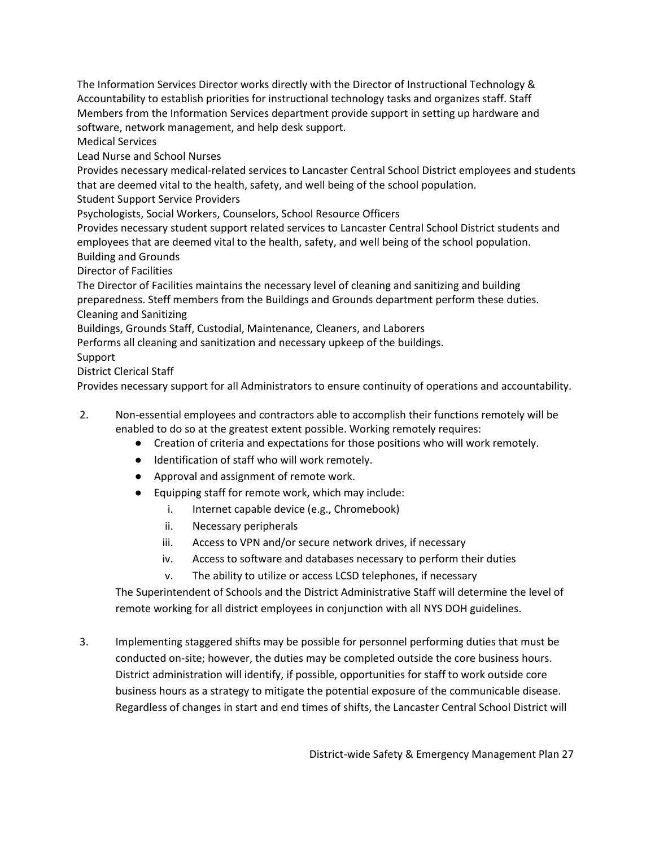The Information Services Director works directly with the Director of Instructional Technology & Accountability to establish priorities for instructional technology tasks and organizes staff. Staff Members from the Information Services department provide support in setting up hardware and software, network management, and help desk support.

Medical Services

Lead Nurse and School Nurses

Provides necessary medical-related services to Lancaster Central School District employees and students that are deemed vital to the health, safety, and well being of the school population.

Student Support Service Providers

Psychologists, Social Workers, Counselors, School Resource Officers

Provides necessary student support related services to Lancaster Central School District students and employees that are deemed vital to the health, safety, and well being of the school population. Building and Grounds

Director of Facilities

The Director of Facilities maintains the necessary level of cleaning and sanitizing and building preparedness. Steff members from the Buildings and Grounds department perform these duties. Cleaning and Sanitizing

Buildings, Grounds Staff, Custodial, Maintenance, Cleaners, and Laborers

Performs all cleaning and sanitization and necessary upkeep of the buildings.

Support

District Clerical Staff

Provides necessary support for all Administrators to ensure continuity of operations and accountability.

- 2. Non-essential employees and contractors able to accomplish their functions remotely will be enabled to do so at the greatest extent possible. Working remotely requires:
	- Creation of criteria and expectations for those positions who will work remotely.
	- Identification of staff who will work remotely.
	- Approval and assignment of remote work.
	- Equipping staff for remote work, which may include:
		- i. Internet capable device (e.g., Chromebook)
		- ii. Necessary peripherals
		- iii. Access to VPN and/or secure network drives, if necessary
		- iv. Access to software and databases necessary to perform their duties
		- v. The ability to utilize or access LCSD telephones, if necessary

The Superintendent of Schools and the District Administrative Staff will determine the level of remote working for all district employees in conjunction with all NYS DOH guidelines.

3. Implementing staggered shifts may be possible for personnel performing duties that must be conducted on-site; however, the duties may be completed outside the core business hours. District administration will identify, if possible, opportunities for staff to work outside core business hours as a strategy to mitigate the potential exposure of the communicable disease. Regardless of changes in start and end times of shifts, the Lancaster Central School District will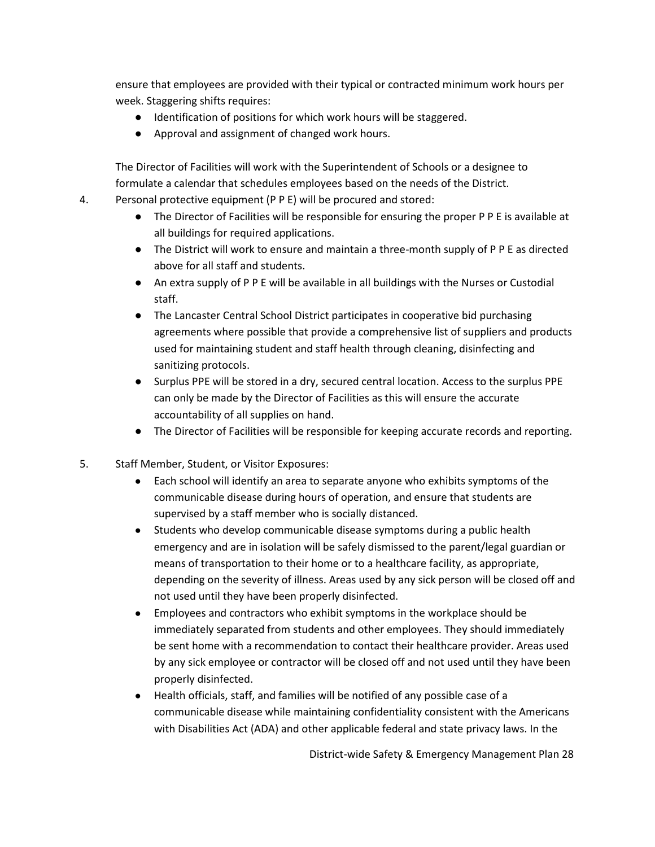ensure that employees are provided with their typical or contracted minimum work hours per week. Staggering shifts requires:

- Identification of positions for which work hours will be staggered.
- Approval and assignment of changed work hours.

The Director of Facilities will work with the Superintendent of Schools or a designee to formulate a calendar that schedules employees based on the needs of the District.

- 4. Personal protective equipment (P P E) will be procured and stored:
	- The Director of Facilities will be responsible for ensuring the proper P P E is available at all buildings for required applications.
	- The District will work to ensure and maintain a three-month supply of P P E as directed above for all staff and students.
	- An extra supply of P P E will be available in all buildings with the Nurses or Custodial staff.
	- The Lancaster Central School District participates in cooperative bid purchasing agreements where possible that provide a comprehensive list of suppliers and products used for maintaining student and staff health through cleaning, disinfecting and sanitizing protocols.
	- Surplus PPE will be stored in a dry, secured central location. Access to the surplus PPE can only be made by the Director of Facilities as this will ensure the accurate accountability of all supplies on hand.
	- The Director of Facilities will be responsible for keeping accurate records and reporting.
- 5. Staff Member, Student, or Visitor Exposures:
	- Each school will identify an area to separate anyone who exhibits symptoms of the communicable disease during hours of operation, and ensure that students are supervised by a staff member who is socially distanced.
	- Students who develop communicable disease symptoms during a public health emergency and are in isolation will be safely dismissed to the parent/legal guardian or means of transportation to their home or to a healthcare facility, as appropriate, depending on the severity of illness. Areas used by any sick person will be closed off and not used until they have been properly disinfected.
	- Employees and contractors who exhibit symptoms in the workplace should be immediately separated from students and other employees. They should immediately be sent home with a recommendation to contact their healthcare provider. Areas used by any sick employee or contractor will be closed off and not used until they have been properly disinfected.
	- Health officials, staff, and families will be notified of any possible case of a communicable disease while maintaining confidentiality consistent with the Americans with Disabilities Act (ADA) and other applicable federal and state privacy laws. In the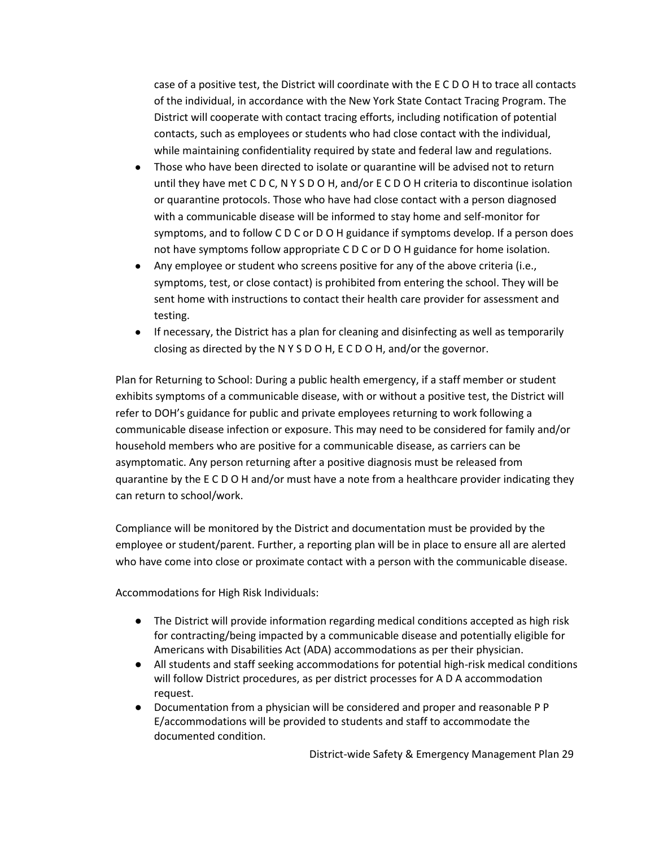case of a positive test, the District will coordinate with the E C D O H to trace all contacts of the individual, in accordance with the New York State Contact Tracing Program. The District will cooperate with contact tracing efforts, including notification of potential contacts, such as employees or students who had close contact with the individual, while maintaining confidentiality required by state and federal law and regulations.

- Those who have been directed to isolate or quarantine will be advised not to return until they have met C D C, N Y S D O H, and/or E C D O H criteria to discontinue isolation or quarantine protocols. Those who have had close contact with a person diagnosed with a communicable disease will be informed to stay home and self-monitor for symptoms, and to follow C D C or D O H guidance if symptoms develop. If a person does not have symptoms follow appropriate C D C or D O H guidance for home isolation.
- Any employee or student who screens positive for any of the above criteria (i.e., symptoms, test, or close contact) is prohibited from entering the school. They will be sent home with instructions to contact their health care provider for assessment and testing.
- If necessary, the District has a plan for cleaning and disinfecting as well as temporarily closing as directed by the N Y S D O H, E C D O H, and/or the governor.

Plan for Returning to School: During a public health emergency, if a staff member or student exhibits symptoms of a communicable disease, with or without a positive test, the District will refer to DOH's guidance for public and private employees returning to work following a communicable disease infection or exposure. This may need to be considered for family and/or household members who are positive for a communicable disease, as carriers can be asymptomatic. Any person returning after a positive diagnosis must be released from quarantine by the E C D O H and/or must have a note from a healthcare provider indicating they can return to school/work.

Compliance will be monitored by the District and documentation must be provided by the employee or student/parent. Further, a reporting plan will be in place to ensure all are alerted who have come into close or proximate contact with a person with the communicable disease.

Accommodations for High Risk Individuals:

- The District will provide information regarding medical conditions accepted as high risk for contracting/being impacted by a communicable disease and potentially eligible for Americans with Disabilities Act (ADA) accommodations as per their physician.
- All students and staff seeking accommodations for potential high-risk medical conditions will follow District procedures, as per district processes for A D A accommodation request.
- Documentation from a physician will be considered and proper and reasonable P P E/accommodations will be provided to students and staff to accommodate the documented condition.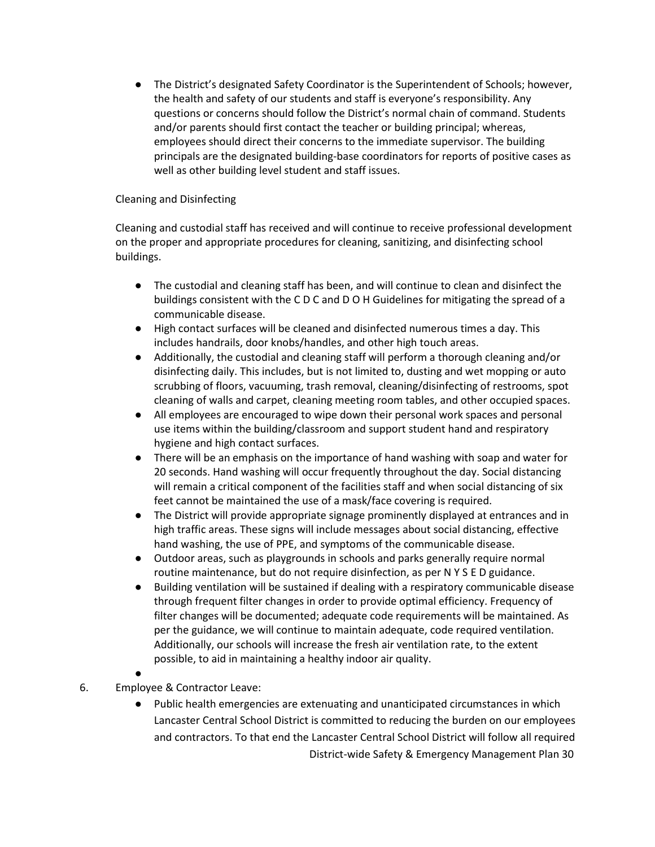● The District's designated Safety Coordinator is the Superintendent of Schools; however, the health and safety of our students and staff is everyone's responsibility. Any questions or concerns should follow the District's normal chain of command. Students and/or parents should first contact the teacher or building principal; whereas, employees should direct their concerns to the immediate supervisor. The building principals are the designated building-base coordinators for reports of positive cases as well as other building level student and staff issues.

## Cleaning and Disinfecting

Cleaning and custodial staff has received and will continue to receive professional development on the proper and appropriate procedures for cleaning, sanitizing, and disinfecting school buildings.

- The custodial and cleaning staff has been, and will continue to clean and disinfect the buildings consistent with the C D C and D O H Guidelines for mitigating the spread of a communicable disease.
- High contact surfaces will be cleaned and disinfected numerous times a day. This includes handrails, door knobs/handles, and other high touch areas.
- Additionally, the custodial and cleaning staff will perform a thorough cleaning and/or disinfecting daily. This includes, but is not limited to, dusting and wet mopping or auto scrubbing of floors, vacuuming, trash removal, cleaning/disinfecting of restrooms, spot cleaning of walls and carpet, cleaning meeting room tables, and other occupied spaces.
- All employees are encouraged to wipe down their personal work spaces and personal use items within the building/classroom and support student hand and respiratory hygiene and high contact surfaces.
- There will be an emphasis on the importance of hand washing with soap and water for 20 seconds. Hand washing will occur frequently throughout the day. Social distancing will remain a critical component of the facilities staff and when social distancing of six feet cannot be maintained the use of a mask/face covering is required.
- The District will provide appropriate signage prominently displayed at entrances and in high traffic areas. These signs will include messages about social distancing, effective hand washing, the use of PPE, and symptoms of the communicable disease.
- Outdoor areas, such as playgrounds in schools and parks generally require normal routine maintenance, but do not require disinfection, as per N Y S E D guidance.
- Building ventilation will be sustained if dealing with a respiratory communicable disease through frequent filter changes in order to provide optimal efficiency. Frequency of filter changes will be documented; adequate code requirements will be maintained. As per the guidance, we will continue to maintain adequate, code required ventilation. Additionally, our schools will increase the fresh air ventilation rate, to the extent possible, to aid in maintaining a healthy indoor air quality.
- 

●

## 6. Employee & Contractor Leave:

District-wide Safety & Emergency Management Plan 30 Public health emergencies are extenuating and unanticipated circumstances in which Lancaster Central School District is committed to reducing the burden on our employees and contractors. To that end the Lancaster Central School District will follow all required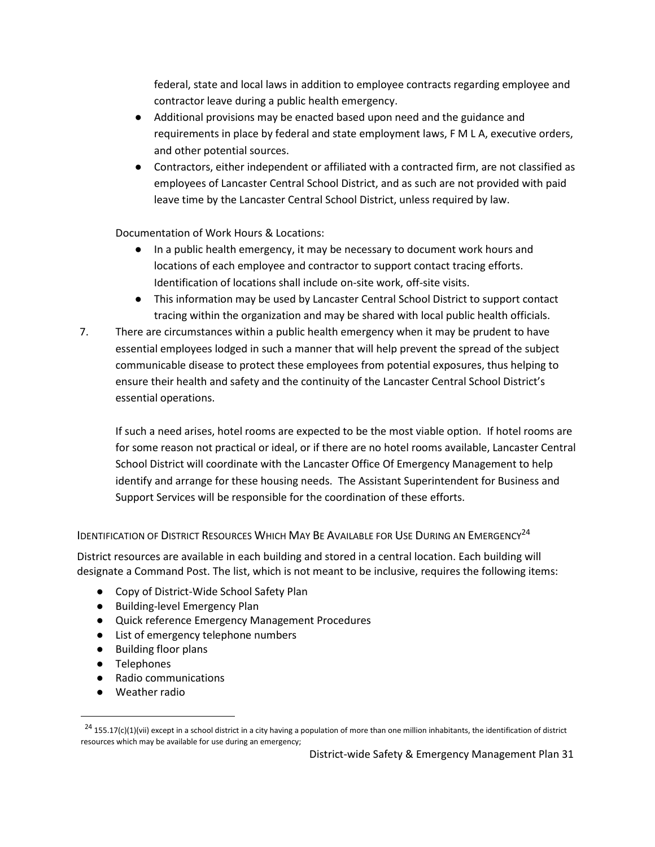federal, state and local laws in addition to employee contracts regarding employee and contractor leave during a public health emergency.

- Additional provisions may be enacted based upon need and the guidance and requirements in place by federal and state employment laws, F M L A, executive orders, and other potential sources.
- Contractors, either independent or affiliated with a contracted firm, are not classified as employees of Lancaster Central School District, and as such are not provided with paid leave time by the Lancaster Central School District, unless required by law.

Documentation of Work Hours & Locations:

- In a public health emergency, it may be necessary to document work hours and locations of each employee and contractor to support contact tracing efforts. Identification of locations shall include on-site work, off-site visits.
- This information may be used by Lancaster Central School District to support contact tracing within the organization and may be shared with local public health officials.
- 7. There are circumstances within a public health emergency when it may be prudent to have essential employees lodged in such a manner that will help prevent the spread of the subject communicable disease to protect these employees from potential exposures, thus helping to ensure their health and safety and the continuity of the Lancaster Central School District's essential operations.

If such a need arises, hotel rooms are expected to be the most viable option. If hotel rooms are for some reason not practical or ideal, or if there are no hotel rooms available, Lancaster Central School District will coordinate with the Lancaster Office Of Emergency Management to help identify and arrange for these housing needs. The Assistant Superintendent for Business and Support Services will be responsible for the coordination of these efforts.

<span id="page-31-0"></span>IDENTIFICATION OF DISTRICT RESOURCES WHICH MAY BE AVAILABLE FOR USE DURING AN EMERGENCY<sup>24</sup>

District resources are available in each building and stored in a central location. Each building will designate a Command Post. The list, which is not meant to be inclusive, requires the following items:

- Copy of District-Wide School Safety Plan
- Building-level Emergency Plan
- Quick reference Emergency Management Procedures
- List of emergency telephone numbers
- Building floor plans
- Telephones

 $\overline{a}$ 

- Radio communications
- Weather radio

 $^{24}$  155.17(c)(1)(vii) except in a school district in a city having a population of more than one million inhabitants, the identification of district resources which may be available for use during an emergency;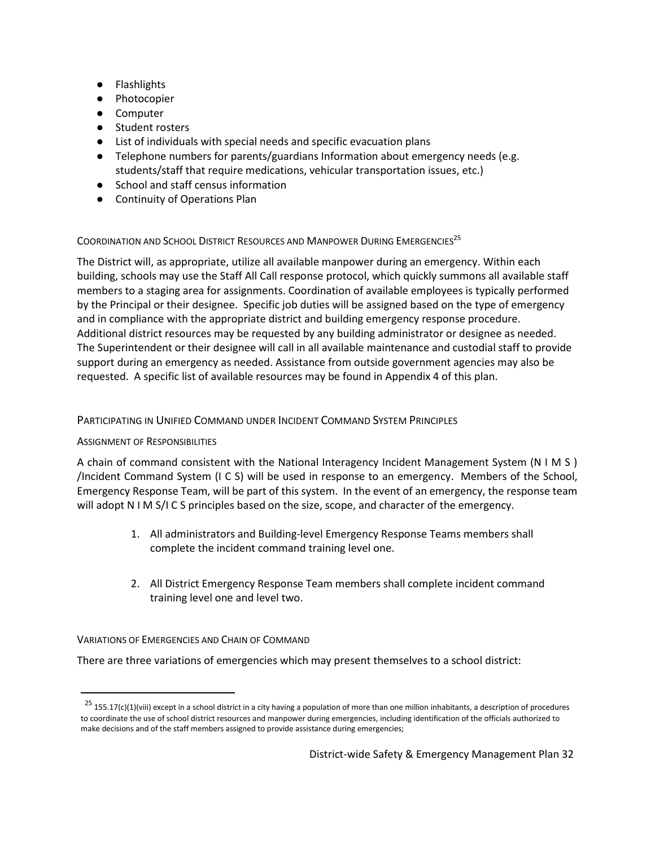- Flashlights
- Photocopier
- Computer
- Student rosters
- List of individuals with special needs and specific evacuation plans
- Telephone numbers for parents/guardians Information about emergency needs (e.g. students/staff that require medications, vehicular transportation issues, etc.)
- School and staff census information
- Continuity of Operations Plan

## <span id="page-32-0"></span>COORDINATION AND SCHOOL DISTRICT RESOURCES AND MANPOWER DURING EMERGENCIES<sup>25</sup>

The District will, as appropriate, utilize all available manpower during an emergency. Within each building, schools may use the Staff All Call response protocol, which quickly summons all available staff members to a staging area for assignments. Coordination of available employees is typically performed by the Principal or their designee. Specific job duties will be assigned based on the type of emergency and in compliance with the appropriate district and building emergency response procedure. Additional district resources may be requested by any building administrator or designee as needed. The Superintendent or their designee will call in all available maintenance and custodial staff to provide support during an emergency as needed. Assistance from outside government agencies may also be requested. A specific list of available resources may be found in Appendix 4 of this plan.

## <span id="page-32-1"></span>PARTICIPATING IN UNIFIED COMMAND UNDER INCIDENT COMMAND SYSTEM PRINCIPLES

## <span id="page-32-2"></span>ASSIGNMENT OF RESPONSIBILITIES

 $\overline{a}$ 

A chain of command consistent with the National Interagency Incident Management System (N I M S ) /Incident Command System (I C S) will be used in response to an emergency. Members of the School, Emergency Response Team, will be part of this system. In the event of an emergency, the response team will adopt N I M S/I C S principles based on the size, scope, and character of the emergency.

- 1. All administrators and Building-level Emergency Response Teams members shall complete the incident command training level one.
- 2. All District Emergency Response Team members shall complete incident command training level one and level two.

## <span id="page-32-3"></span>VARIATIONS OF EMERGENCIES AND CHAIN OF COMMAND

There are three variations of emergencies which may present themselves to a school district:

 $^{25}$  155.17(c)(1)(viii) except in a school district in a city having a population of more than one million inhabitants, a description of procedures to coordinate the use of school district resources and manpower during emergencies, including identification of the officials authorized to make decisions and of the staff members assigned to provide assistance during emergencies;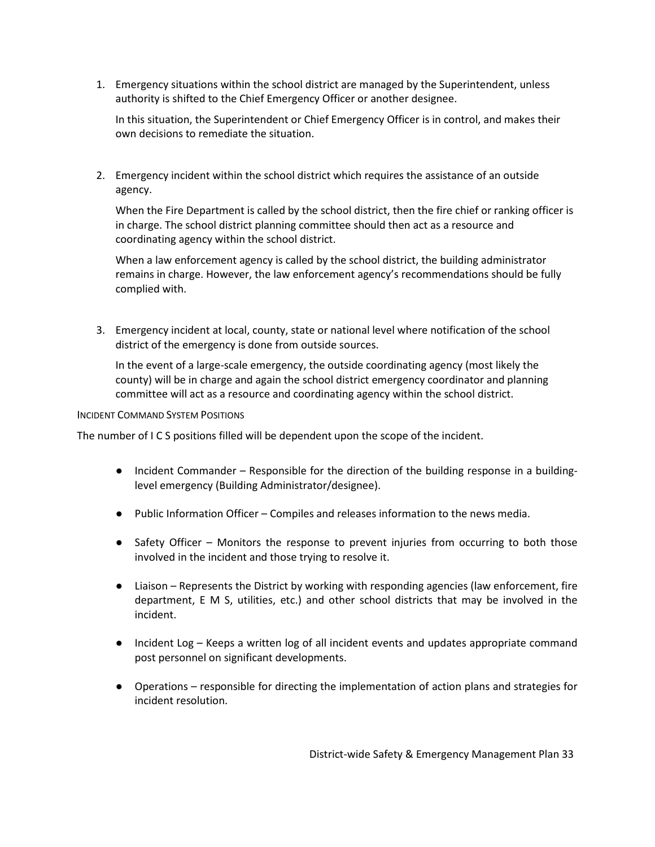1. Emergency situations within the school district are managed by the Superintendent, unless authority is shifted to the Chief Emergency Officer or another designee.

In this situation, the Superintendent or Chief Emergency Officer is in control, and makes their own decisions to remediate the situation.

2. Emergency incident within the school district which requires the assistance of an outside agency.

When the Fire Department is called by the school district, then the fire chief or ranking officer is in charge. The school district planning committee should then act as a resource and coordinating agency within the school district.

When a law enforcement agency is called by the school district, the building administrator remains in charge. However, the law enforcement agency's recommendations should be fully complied with.

3. Emergency incident at local, county, state or national level where notification of the school district of the emergency is done from outside sources.

In the event of a large-scale emergency, the outside coordinating agency (most likely the county) will be in charge and again the school district emergency coordinator and planning committee will act as a resource and coordinating agency within the school district.

#### <span id="page-33-0"></span>INCIDENT COMMAND SYSTEM POSITIONS

The number of I C S positions filled will be dependent upon the scope of the incident.

- Incident Commander Responsible for the direction of the building response in a buildinglevel emergency (Building Administrator/designee).
- Public Information Officer Compiles and releases information to the news media.
- Safety Officer Monitors the response to prevent injuries from occurring to both those involved in the incident and those trying to resolve it.
- Liaison Represents the District by working with responding agencies (law enforcement, fire department, E M S, utilities, etc.) and other school districts that may be involved in the incident.
- Incident Log Keeps a written log of all incident events and updates appropriate command post personnel on significant developments.
- Operations responsible for directing the implementation of action plans and strategies for incident resolution.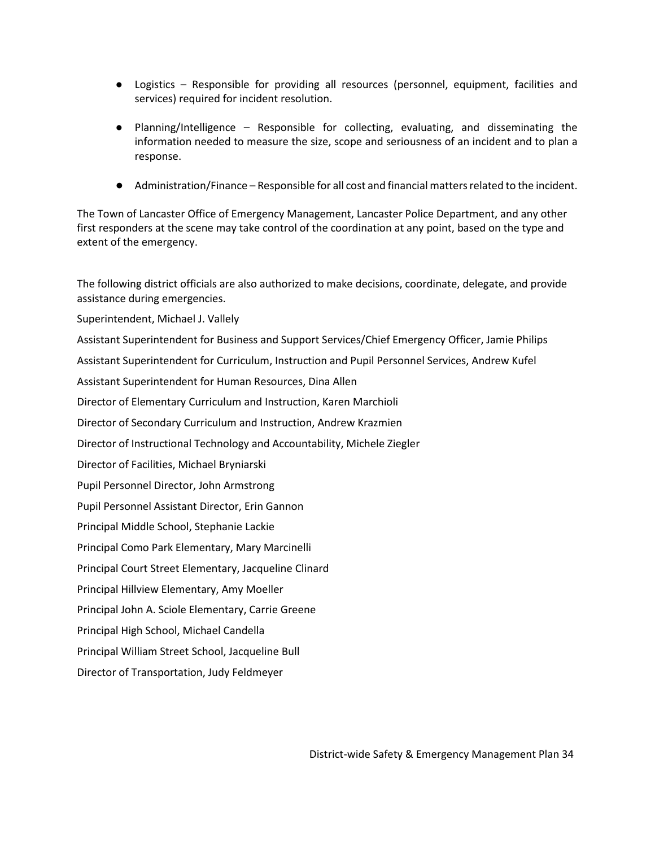- Logistics Responsible for providing all resources (personnel, equipment, facilities and services) required for incident resolution.
- Planning/Intelligence Responsible for collecting, evaluating, and disseminating the information needed to measure the size, scope and seriousness of an incident and to plan a response.
- Administration/Finance Responsible for all cost and financial matters related to the incident.

The Town of Lancaster Office of Emergency Management, Lancaster Police Department, and any other first responders at the scene may take control of the coordination at any point, based on the type and extent of the emergency.

The following district officials are also authorized to make decisions, coordinate, delegate, and provide assistance during emergencies.

Superintendent, Michael J. Vallely

Assistant Superintendent for Business and Support Services/Chief Emergency Officer, Jamie Philips

Assistant Superintendent for Curriculum, Instruction and Pupil Personnel Services, Andrew Kufel

Assistant Superintendent for Human Resources, Dina Allen

Director of Elementary Curriculum and Instruction, Karen Marchioli

Director of Secondary Curriculum and Instruction, Andrew Krazmien

Director of Instructional Technology and Accountability, Michele Ziegler

Director of Facilities, Michael Bryniarski

Pupil Personnel Director, John Armstrong

Pupil Personnel Assistant Director, Erin Gannon

Principal Middle School, Stephanie Lackie

Principal Como Park Elementary, Mary Marcinelli

Principal Court Street Elementary, Jacqueline Clinard

Principal Hillview Elementary, Amy Moeller

Principal John A. Sciole Elementary, Carrie Greene

Principal High School, Michael Candella

Principal William Street School, Jacqueline Bull

Director of Transportation, Judy Feldmeyer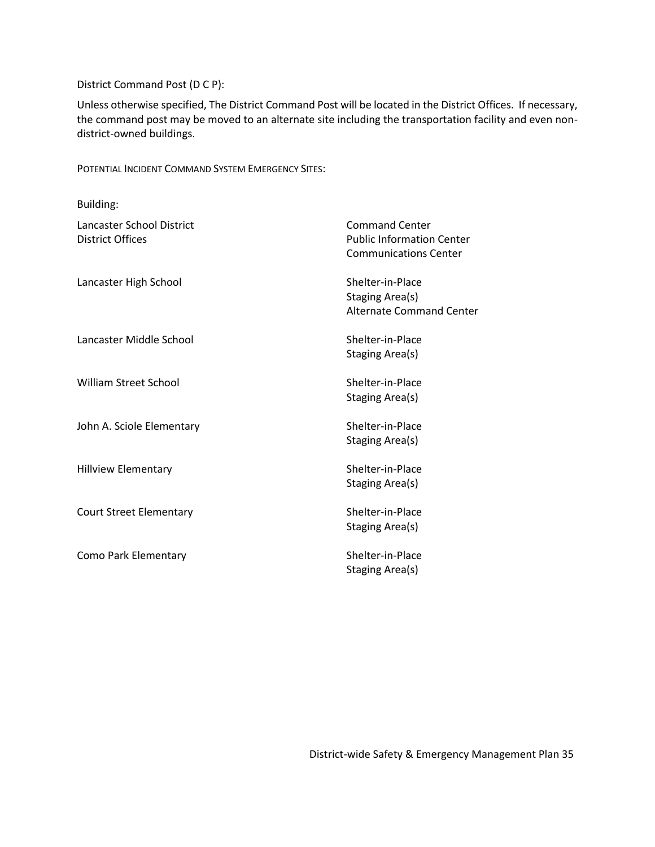#### District Command Post (D C P):

Unless otherwise specified, The District Command Post will be located in the District Offices. If necessary, the command post may be moved to an alternate site including the transportation facility and even nondistrict-owned buildings.

<span id="page-35-0"></span>POTENTIAL INCIDENT COMMAND SYSTEM EMERGENCY SITES:

| Building:                                            |                                                                                           |
|------------------------------------------------------|-------------------------------------------------------------------------------------------|
| Lancaster School District<br><b>District Offices</b> | <b>Command Center</b><br><b>Public Information Center</b><br><b>Communications Center</b> |
| Lancaster High School                                | Shelter-in-Place<br>Staging Area(s)<br>Alternate Command Center                           |
| Lancaster Middle School                              | Shelter-in-Place<br>Staging Area(s)                                                       |
| <b>William Street School</b>                         | Shelter-in-Place<br><b>Staging Area(s)</b>                                                |
| John A. Sciole Elementary                            | Shelter-in-Place<br>Staging Area(s)                                                       |
| <b>Hillview Elementary</b>                           | Shelter-in-Place<br>Staging Area(s)                                                       |
| <b>Court Street Elementary</b>                       | Shelter-in-Place<br><b>Staging Area(s)</b>                                                |
| Como Park Elementary                                 | Shelter-in-Place<br>Staging Area(s)                                                       |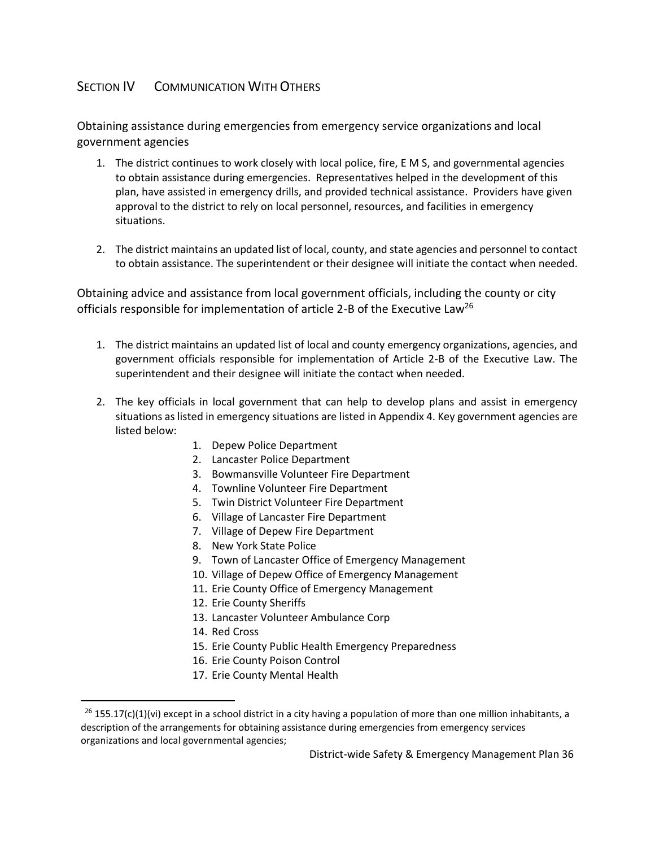## <span id="page-36-0"></span>SECTION **IV** COMMUNICATION WITH OTHERS

Obtaining assistance during emergencies from emergency service organizations and local government agencies

- 1. The district continues to work closely with local police, fire, E M S, and governmental agencies to obtain assistance during emergencies. Representatives helped in the development of this plan, have assisted in emergency drills, and provided technical assistance. Providers have given approval to the district to rely on local personnel, resources, and facilities in emergency situations.
- 2. The district maintains an updated list of local, county, and state agencies and personnel to contact to obtain assistance. The superintendent or their designee will initiate the contact when needed.

Obtaining advice and assistance from local government officials, including the county or city officials responsible for implementation of article 2-B of the Executive Law<sup>26</sup>

- 1. The district maintains an updated list of local and county emergency organizations, agencies, and government officials responsible for implementation of Article 2-B of the Executive Law. The superintendent and their designee will initiate the contact when needed.
- 2. The key officials in local government that can help to develop plans and assist in emergency situations as listed in emergency situations are listed in Appendix 4. Key government agencies are listed below:
	- 1. Depew Police Department
	- 2. Lancaster Police Department
	- 3. Bowmansville Volunteer Fire Department
	- 4. Townline Volunteer Fire Department
	- 5. Twin District Volunteer Fire Department
	- 6. Village of Lancaster Fire Department
	- 7. Village of Depew Fire Department
	- 8. New York State Police
	- 9. Town of Lancaster Office of Emergency Management
	- 10. Village of Depew Office of Emergency Management
	- 11. Erie County Office of Emergency Management
	- 12. Erie County Sheriffs
	- 13. Lancaster Volunteer Ambulance Corp
	- 14. Red Cross

 $\overline{a}$ 

- 15. Erie County Public Health Emergency Preparedness
- 16. Erie County Poison Control
- 17. Erie County Mental Health

 $26$  155.17(c)(1)(vi) except in a school district in a city having a population of more than one million inhabitants, a description of the arrangements for obtaining assistance during emergencies from emergency services organizations and local governmental agencies;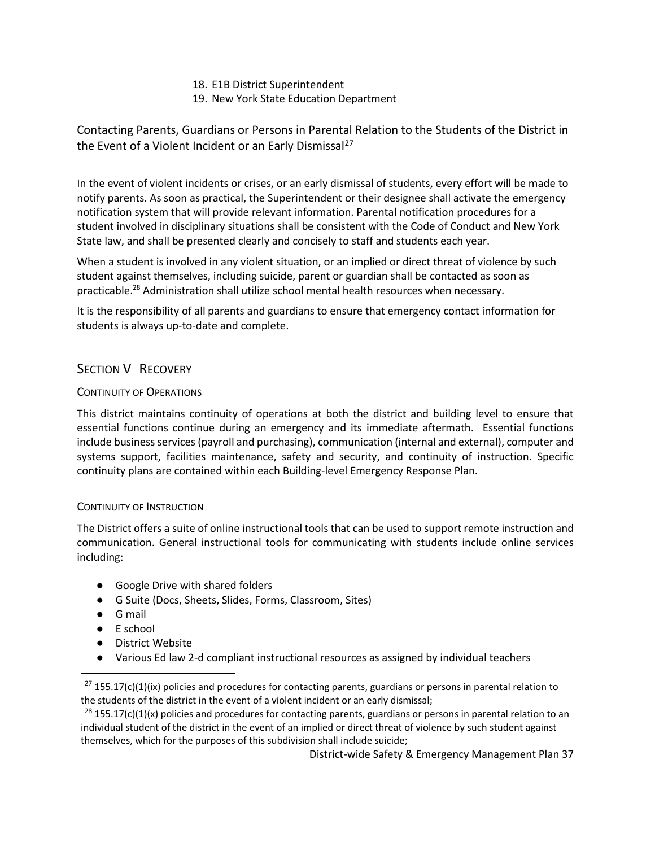- 18. E1B District Superintendent
- 19. New York State Education Department

Contacting Parents, Guardians or Persons in Parental Relation to the Students of the District in the Event of a Violent Incident or an Early Dismissal<sup>27</sup>

In the event of violent incidents or crises, or an early dismissal of students, every effort will be made to notify parents. As soon as practical, the Superintendent or their designee shall activate the emergency notification system that will provide relevant information. Parental notification procedures for a student involved in disciplinary situations shall be consistent with the Code of Conduct and New York State law, and shall be presented clearly and concisely to staff and students each year.

When a student is involved in any violent situation, or an implied or direct threat of violence by such student against themselves, including suicide, parent or guardian shall be contacted as soon as practicable.<sup>28</sup> Administration shall utilize school mental health resources when necessary.

It is the responsibility of all parents and guardians to ensure that emergency contact information for students is always up-to-date and complete.

## <span id="page-37-0"></span>SECTION V RECOVERY

## <span id="page-37-1"></span>CONTINUITY OF OPERATIONS

This district maintains continuity of operations at both the district and building level to ensure that essential functions continue during an emergency and its immediate aftermath. Essential functions include business services (payroll and purchasing), communication (internal and external), computer and systems support, facilities maintenance, safety and security, and continuity of instruction. Specific continuity plans are contained within each Building-level Emergency Response Plan.

## <span id="page-37-2"></span>CONTINUITY OF INSTRUCTION

The District offers a suite of online instructional tools that can be used to support remote instruction and communication. General instructional tools for communicating with students include online services including:

- Google Drive with shared folders
- G Suite (Docs, Sheets, Slides, Forms, Classroom, Sites)
- G mail

 $\overline{a}$ 

- E school
- District Website
- Various Ed law 2-d compliant instructional resources as assigned by individual teachers

 $27$  155.17(c)(1)(ix) policies and procedures for contacting parents, guardians or persons in parental relation to the students of the district in the event of a violent incident or an early dismissal;

 $28$  155.17(c)(1)(x) policies and procedures for contacting parents, guardians or persons in parental relation to an individual student of the district in the event of an implied or direct threat of violence by such student against themselves, which for the purposes of this subdivision shall include suicide;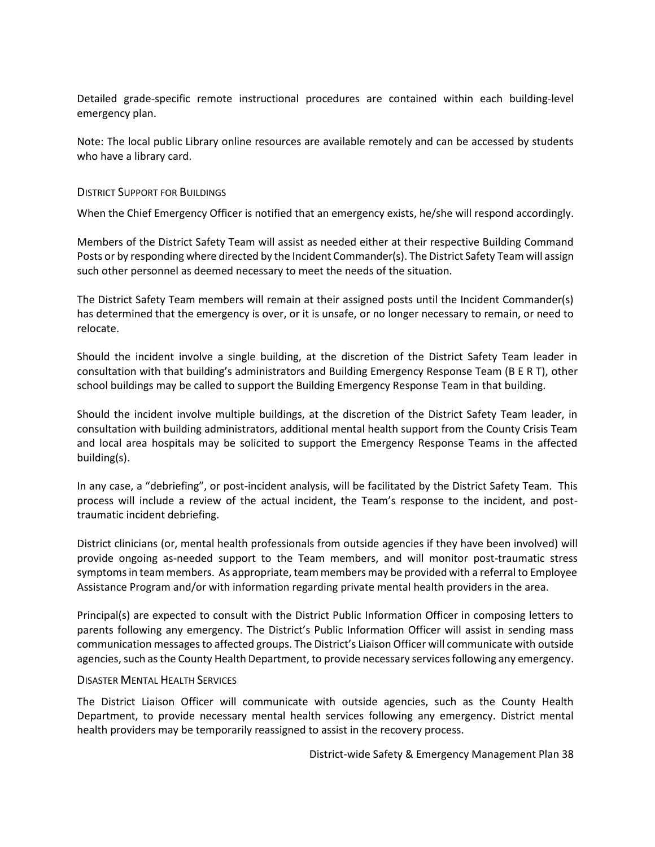Detailed grade-specific remote instructional procedures are contained within each building-level emergency plan.

Note: The local public Library online resources are available remotely and can be accessed by students who have a library card.

#### <span id="page-38-0"></span>DISTRICT SUPPORT FOR BUILDINGS

When the Chief Emergency Officer is notified that an emergency exists, he/she will respond accordingly.

Members of the District Safety Team will assist as needed either at their respective Building Command Posts or by responding where directed by the Incident Commander(s). The District Safety Team will assign such other personnel as deemed necessary to meet the needs of the situation.

The District Safety Team members will remain at their assigned posts until the Incident Commander(s) has determined that the emergency is over, or it is unsafe, or no longer necessary to remain, or need to relocate.

Should the incident involve a single building, at the discretion of the District Safety Team leader in consultation with that building's administrators and Building Emergency Response Team (B E R T), other school buildings may be called to support the Building Emergency Response Team in that building.

Should the incident involve multiple buildings, at the discretion of the District Safety Team leader, in consultation with building administrators, additional mental health support from the County Crisis Team and local area hospitals may be solicited to support the Emergency Response Teams in the affected building(s).

In any case, a "debriefing", or post-incident analysis, will be facilitated by the District Safety Team. This process will include a review of the actual incident, the Team's response to the incident, and posttraumatic incident debriefing.

District clinicians (or, mental health professionals from outside agencies if they have been involved) will provide ongoing as-needed support to the Team members, and will monitor post-traumatic stress symptoms in team members. As appropriate, team members may be provided with a referral to Employee Assistance Program and/or with information regarding private mental health providers in the area.

Principal(s) are expected to consult with the District Public Information Officer in composing letters to parents following any emergency. The District's Public Information Officer will assist in sending mass communication messages to affected groups. The District's Liaison Officer will communicate with outside agencies, such as the County Health Department, to provide necessary services following any emergency.

#### <span id="page-38-1"></span>DISASTER MENTAL HEALTH SERVICES

The District Liaison Officer will communicate with outside agencies, such as the County Health Department, to provide necessary mental health services following any emergency. District mental health providers may be temporarily reassigned to assist in the recovery process.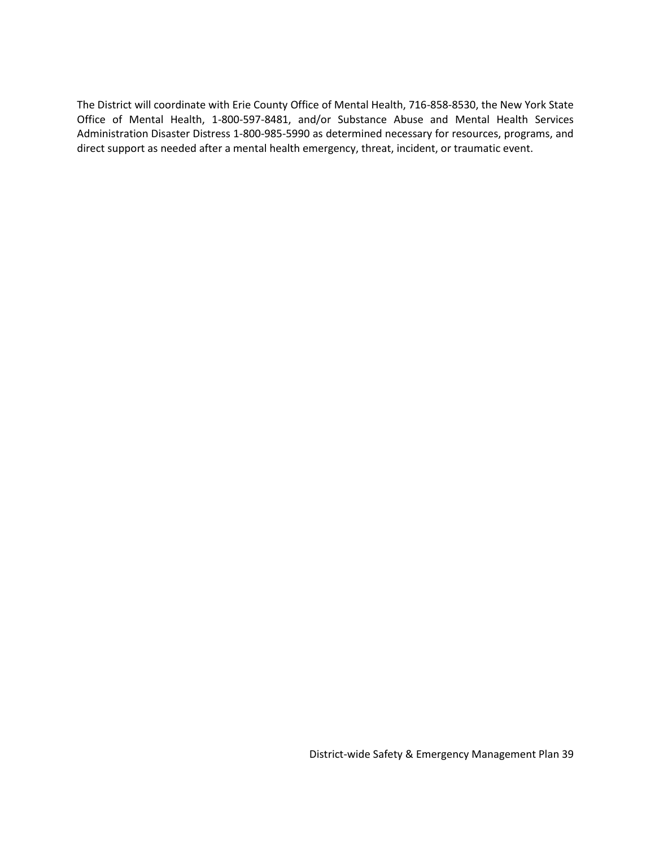The District will coordinate with Erie County Office of Mental Health, 716-858-8530, the New York State Office of Mental Health, 1-800-597-8481, and/or Substance Abuse and Mental Health Services Administration Disaster Distress 1-800-985-5990 as determined necessary for resources, programs, and direct support as needed after a mental health emergency, threat, incident, or traumatic event.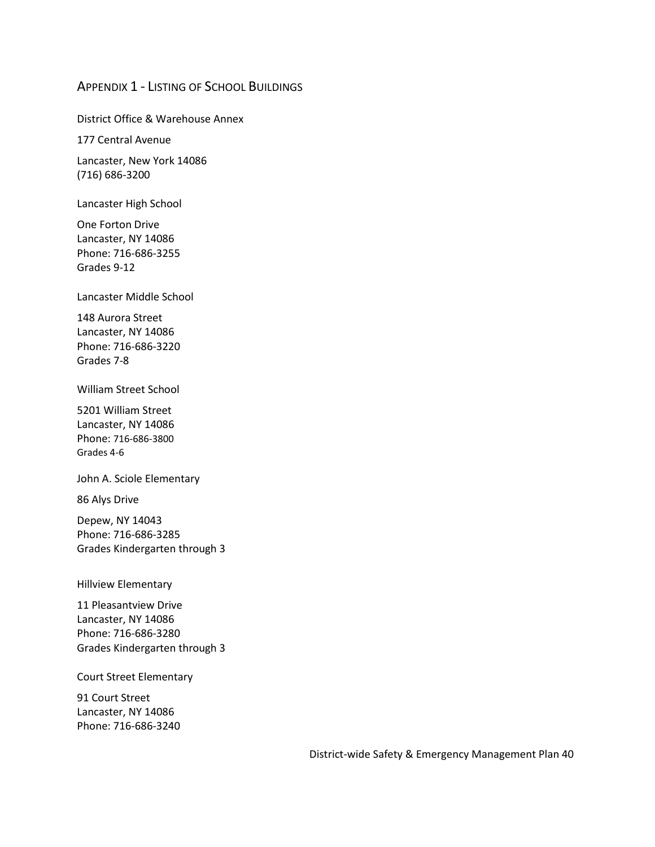## <span id="page-40-0"></span>APPENDIX 1 - LISTING OF SCHOOL BUILDINGS

District Office & Warehouse Annex

177 Central Avenue

Lancaster, New York 14086 (716) 686-3200

Lancaster High School

One Forton Drive Lancaster, NY 14086 Phone: 716-686-3255 Grades 9-12

Lancaster Middle School

148 Aurora Street Lancaster, NY 14086 Phone: 716-686-3220 Grades 7-8

William Street School

5201 William Street Lancaster, NY 14086 Phone: 716-686-3800 Grades 4-6

John A. Sciole Elementary

86 Alys Drive

Depew, NY 14043 Phone: 716-686-3285 Grades Kindergarten through 3

Hillview Elementary

11 Pleasantview Drive Lancaster, NY 14086 Phone: 716-686-3280 Grades Kindergarten through 3

Court Street Elementary

91 Court Street Lancaster, NY 14086 Phone: 716-686-3240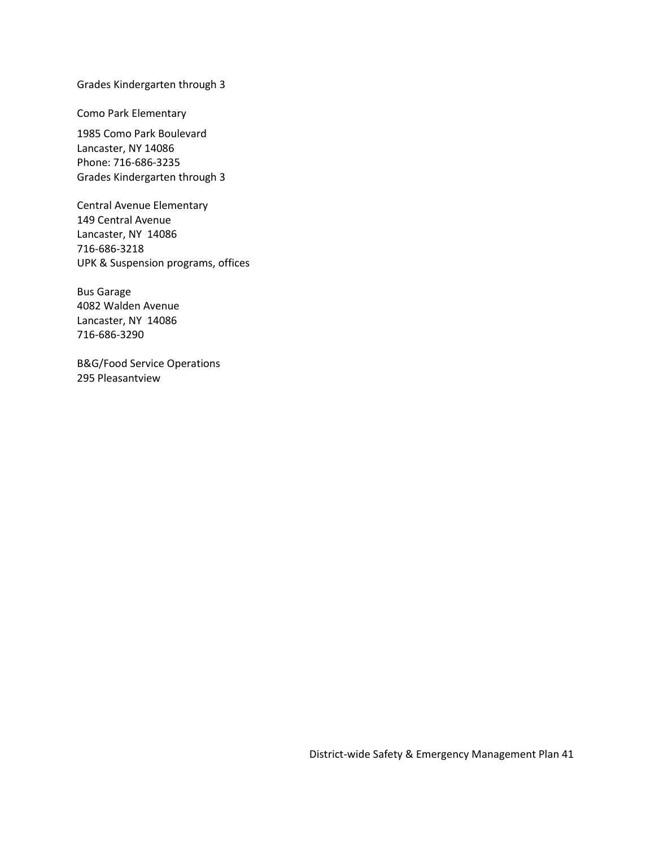Grades Kindergarten through 3

Como Park Elementary

1985 Como Park Boulevard Lancaster, NY 14086 Phone: 716-686-3235 Grades Kindergarten through 3

Central Avenue Elementary 149 Central Avenue Lancaster, NY 14086 716-686-3218 UPK & Suspension programs, offices

Bus Garage 4082 Walden Avenue Lancaster, NY 14086 716-686-3290

B&G/Food Service Operations 295 Pleasantview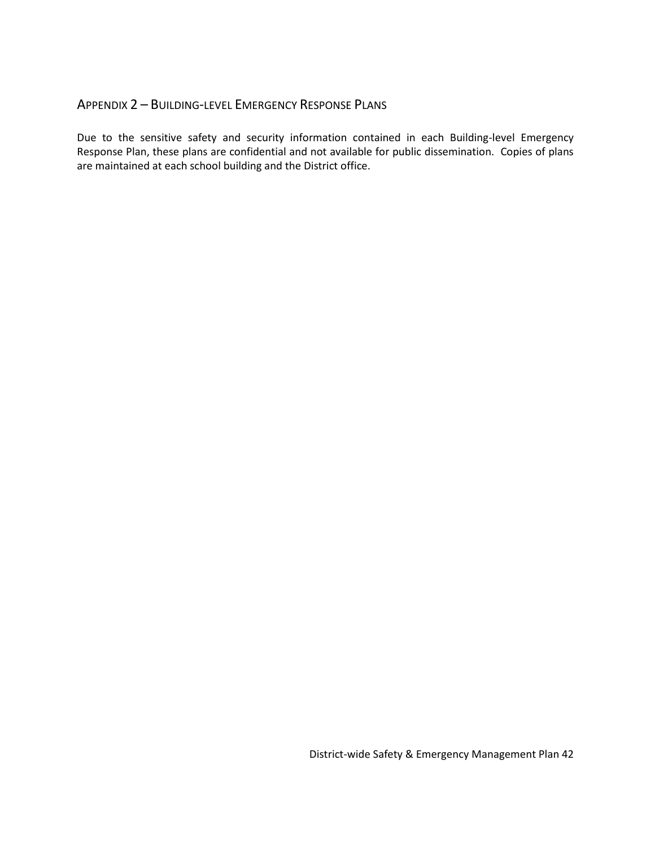## APPENDIX 2 – BUILDING-LEVEL EMERGENCY RESPONSE PLANS

Due to the sensitive safety and security information contained in each Building-level Emergency Response Plan, these plans are confidential and not available for public dissemination. Copies of plans are maintained at each school building and the District office.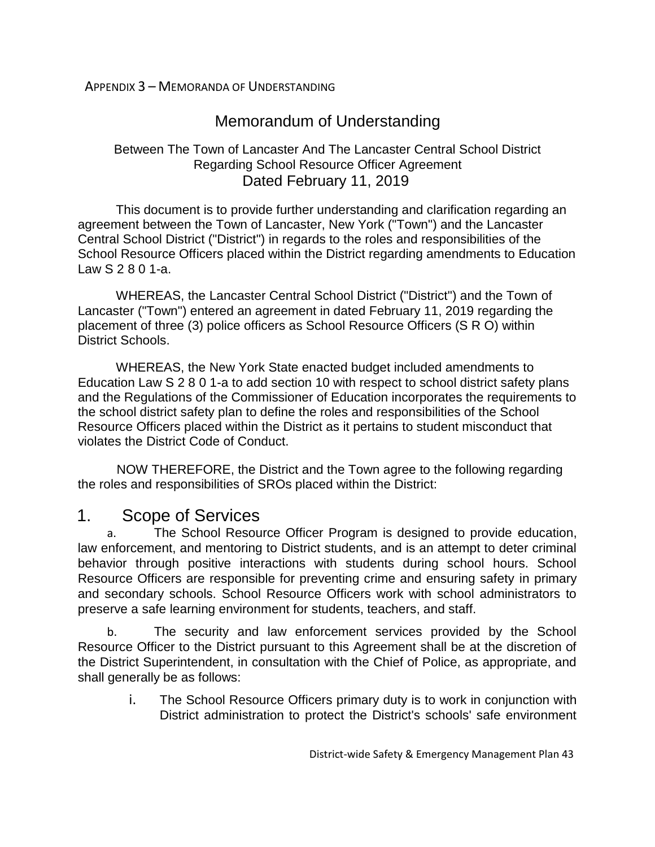<span id="page-43-0"></span>APPENDIX 3 – MEMORANDA OF UNDERSTANDING

# Memorandum of Understanding

## Between The Town of Lancaster And The Lancaster Central School District Regarding School Resource Officer Agreement Dated February 11, 2019

This document is to provide further understanding and clarification regarding an agreement between the Town of Lancaster, New York ("Town") and the Lancaster Central School District ("District") in regards to the roles and responsibilities of the School Resource Officers placed within the District regarding amendments to Education Law S 2 8 0 1-a.

WHEREAS, the Lancaster Central School District ("District") and the Town of Lancaster ("Town") entered an agreement in dated February 11, 2019 regarding the placement of three (3) police officers as School Resource Officers (S R O) within District Schools.

WHEREAS, the New York State enacted budget included amendments to Education Law S 2 8 0 1-a to add section 10 with respect to school district safety plans and the Regulations of the Commissioner of Education incorporates the requirements to the school district safety plan to define the roles and responsibilities of the School Resource Officers placed within the District as it pertains to student misconduct that violates the District Code of Conduct.

NOW THEREFORE, the District and the Town agree to the following regarding the roles and responsibilities of SROs placed within the District:

# 1. Scope of Services

a. The School Resource Officer Program is designed to provide education, law enforcement, and mentoring to District students, and is an attempt to deter criminal behavior through positive interactions with students during school hours. School Resource Officers are responsible for preventing crime and ensuring safety in primary and secondary schools. School Resource Officers work with school administrators to preserve a safe learning environment for students, teachers, and staff.

b. The security and law enforcement services provided by the School Resource Officer to the District pursuant to this Agreement shall be at the discretion of the District Superintendent, in consultation with the Chief of Police, as appropriate, and shall generally be as follows:

> i. The School Resource Officers primary duty is to work in conjunction with District administration to protect the District's schools' safe environment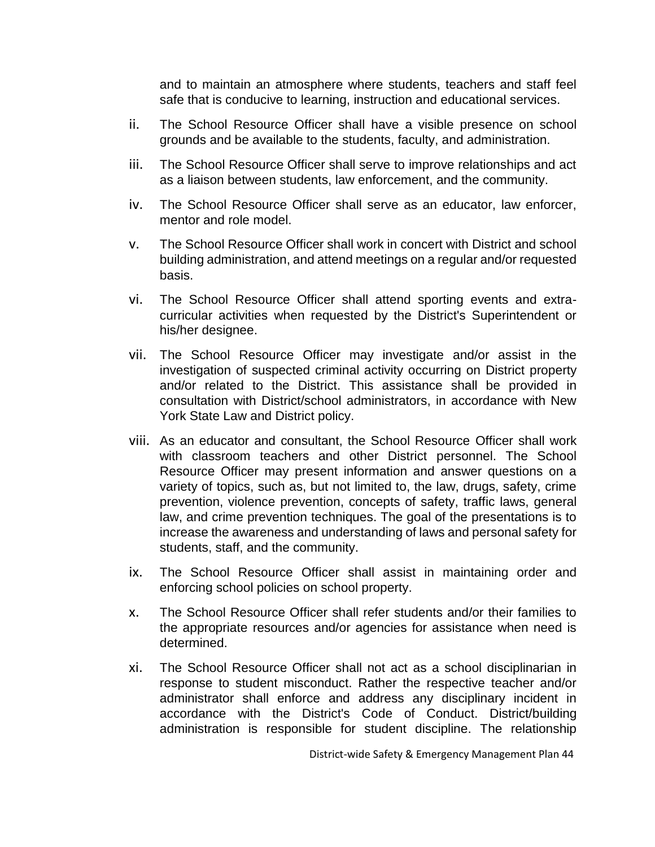and to maintain an atmosphere where students, teachers and staff feel safe that is conducive to learning, instruction and educational services.

- ii. The School Resource Officer shall have a visible presence on school grounds and be available to the students, faculty, and administration.
- iii. The School Resource Officer shall serve to improve relationships and act as a liaison between students, law enforcement, and the community.
- iv. The School Resource Officer shall serve as an educator, law enforcer, mentor and role model.
- v. The School Resource Officer shall work in concert with District and school building administration, and attend meetings on a regular and/or requested basis.
- vi. The School Resource Officer shall attend sporting events and extracurricular activities when requested by the District's Superintendent or his/her designee.
- vii. The School Resource Officer may investigate and/or assist in the investigation of suspected criminal activity occurring on District property and/or related to the District. This assistance shall be provided in consultation with District/school administrators, in accordance with New York State Law and District policy.
- viii. As an educator and consultant, the School Resource Officer shall work with classroom teachers and other District personnel. The School Resource Officer may present information and answer questions on a variety of topics, such as, but not limited to, the law, drugs, safety, crime prevention, violence prevention, concepts of safety, traffic laws, general law, and crime prevention techniques. The goal of the presentations is to increase the awareness and understanding of laws and personal safety for students, staff, and the community.
- ix. The School Resource Officer shall assist in maintaining order and enforcing school policies on school property.
- x. The School Resource Officer shall refer students and/or their families to the appropriate resources and/or agencies for assistance when need is determined.
- xi. The School Resource Officer shall not act as a school disciplinarian in response to student misconduct. Rather the respective teacher and/or administrator shall enforce and address any disciplinary incident in accordance with the District's Code of Conduct. District/building administration is responsible for student discipline. The relationship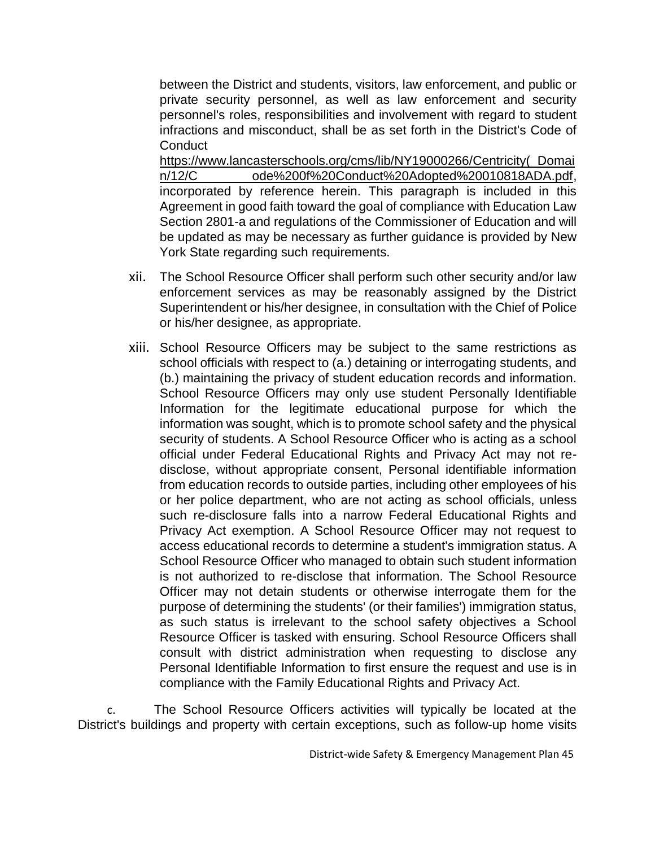between the District and students, visitors, law enforcement, and public or private security personnel, as well as law enforcement and security personnel's roles, responsibilities and involvement with regard to student infractions and misconduct, shall be as set forth in the District's Code of **Conduct** 

https://www.lancasterschools.org/cms/lib/NY19000266/Centricity(\_Domai n/12/C ode%200f%20Conduct%20Adopted%20010818ADA.pdf, incorporated by reference herein. This paragraph is included in this Agreement in good faith toward the goal of compliance with Education Law Section 2801-a and regulations of the Commissioner of Education and will be updated as may be necessary as further guidance is provided by New York State regarding such requirements.

- xii. The School Resource Officer shall perform such other security and/or law enforcement services as may be reasonably assigned by the District Superintendent or his/her designee, in consultation with the Chief of Police or his/her designee, as appropriate.
- xiii. School Resource Officers may be subject to the same restrictions as school officials with respect to (a.) detaining or interrogating students, and (b.) maintaining the privacy of student education records and information. School Resource Officers may only use student Personally Identifiable Information for the legitimate educational purpose for which the information was sought, which is to promote school safety and the physical security of students. A School Resource Officer who is acting as a school official under Federal Educational Rights and Privacy Act may not redisclose, without appropriate consent, Personal identifiable information from education records to outside parties, including other employees of his or her police department, who are not acting as school officials, unless such re-disclosure falls into a narrow Federal Educational Rights and Privacy Act exemption. A School Resource Officer may not request to access educational records to determine a student's immigration status. A School Resource Officer who managed to obtain such student information is not authorized to re-disclose that information. The School Resource Officer may not detain students or otherwise interrogate them for the purpose of determining the students' (or their families') immigration status, as such status is irrelevant to the school safety objectives a School Resource Officer is tasked with ensuring. School Resource Officers shall consult with district administration when requesting to disclose any Personal Identifiable Information to first ensure the request and use is in compliance with the Family Educational Rights and Privacy Act.

c. The School Resource Officers activities will typically be located at the District's buildings and property with certain exceptions, such as follow-up home visits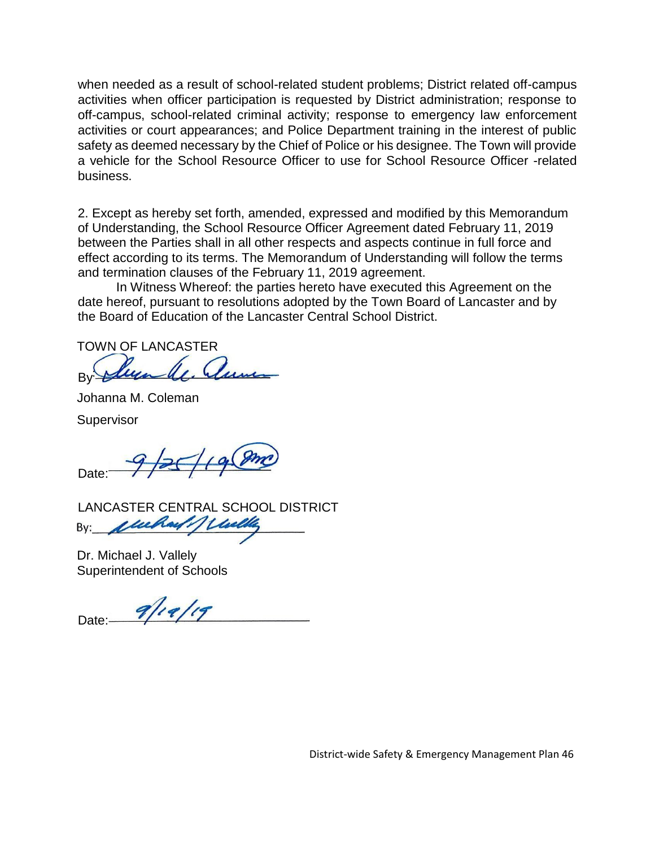when needed as a result of school-related student problems; District related off-campus activities when officer participation is requested by District administration; response to off-campus, school-related criminal activity; response to emergency law enforcement activities or court appearances; and Police Department training in the interest of public safety as deemed necessary by the Chief of Police or his designee. The Town will provide a vehicle for the School Resource Officer to use for School Resource Officer -related business.

2. Except as hereby set forth, amended, expressed and modified by this Memorandum of Understanding, the School Resource Officer Agreement dated February 11, 2019 between the Parties shall in all other respects and aspects continue in full force and effect according to its terms. The Memorandum of Understanding will follow the terms and termination clauses of the February 11, 2019 agreement.

In Witness Whereof: the parties hereto have executed this Agreement on the date hereof, pursuant to resolutions adopted by the Town Board of Lancaster and by the Board of Education of the Lancaster Central School District.

TOWN OF LANCASTER

legale, June By Johanna M. Coleman

**Supervisor** 

Date:  $9/25/19$ 

LANCASTER CENTRAL SCHOOL DISTRICT<br>By: *Julian 1 Liveling* 

Dr. Michael J. Vallely Superintendent of Schools

Date:  $9/19/19$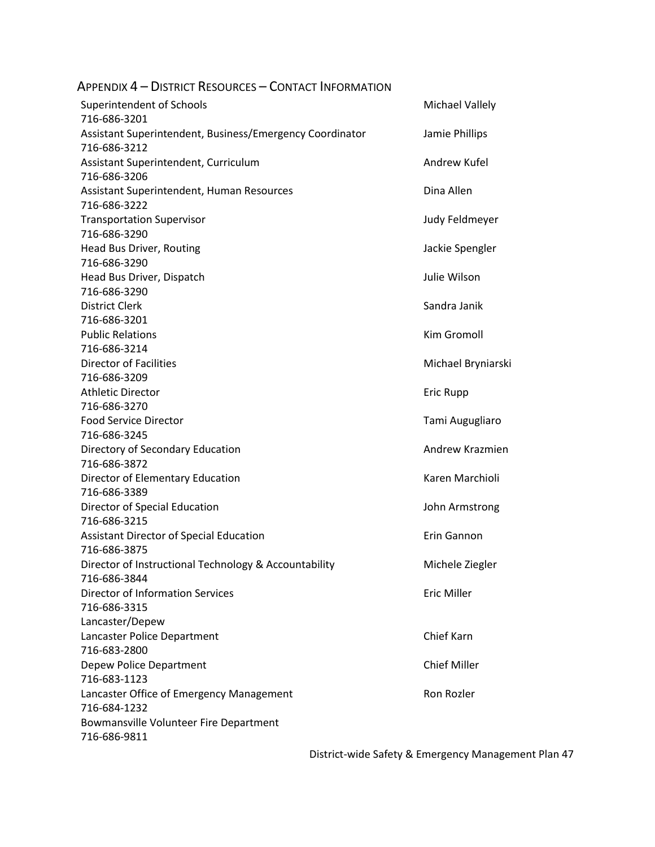<span id="page-47-0"></span>

| Appendix 4 – District Resources – Contact Information    |                        |
|----------------------------------------------------------|------------------------|
| Superintendent of Schools                                | <b>Michael Vallely</b> |
| 716-686-3201                                             |                        |
| Assistant Superintendent, Business/Emergency Coordinator | Jamie Phillips         |
| 716-686-3212                                             |                        |
| Assistant Superintendent, Curriculum                     | Andrew Kufel           |
| 716-686-3206                                             |                        |
| Assistant Superintendent, Human Resources                | Dina Allen             |
| 716-686-3222                                             |                        |
| <b>Transportation Supervisor</b>                         | Judy Feldmeyer         |
| 716-686-3290                                             |                        |
| Head Bus Driver, Routing                                 | Jackie Spengler        |
| 716-686-3290                                             |                        |
| Head Bus Driver, Dispatch                                | Julie Wilson           |
| 716-686-3290                                             |                        |
| <b>District Clerk</b>                                    | Sandra Janik           |
| 716-686-3201                                             |                        |
| <b>Public Relations</b>                                  | Kim Gromoll            |
| 716-686-3214                                             |                        |
| <b>Director of Facilities</b>                            | Michael Bryniarski     |
| 716-686-3209                                             |                        |
| <b>Athletic Director</b>                                 | Eric Rupp              |
| 716-686-3270                                             |                        |
| <b>Food Service Director</b>                             | Tami Augugliaro        |
| 716-686-3245                                             |                        |
| Directory of Secondary Education                         | Andrew Krazmien        |
| 716-686-3872                                             |                        |
| Director of Elementary Education                         | Karen Marchioli        |
| 716-686-3389                                             |                        |
| Director of Special Education                            | John Armstrong         |
| 716-686-3215                                             |                        |
| <b>Assistant Director of Special Education</b>           | Erin Gannon            |
| 716-686-3875                                             |                        |
| Director of Instructional Technology & Accountability    | Michele Ziegler        |
| 716-686-3844                                             |                        |
| <b>Director of Information Services</b>                  | <b>Eric Miller</b>     |
| 716-686-3315                                             |                        |
| Lancaster/Depew                                          |                        |
| Lancaster Police Department                              | Chief Karn             |
| 716-683-2800                                             |                        |
| Depew Police Department                                  | <b>Chief Miller</b>    |
| 716-683-1123                                             |                        |
|                                                          |                        |
| Lancaster Office of Emergency Management                 | Ron Rozler             |
| 716-684-1232                                             |                        |
| Bowmansville Volunteer Fire Department                   |                        |
| 716-686-9811                                             |                        |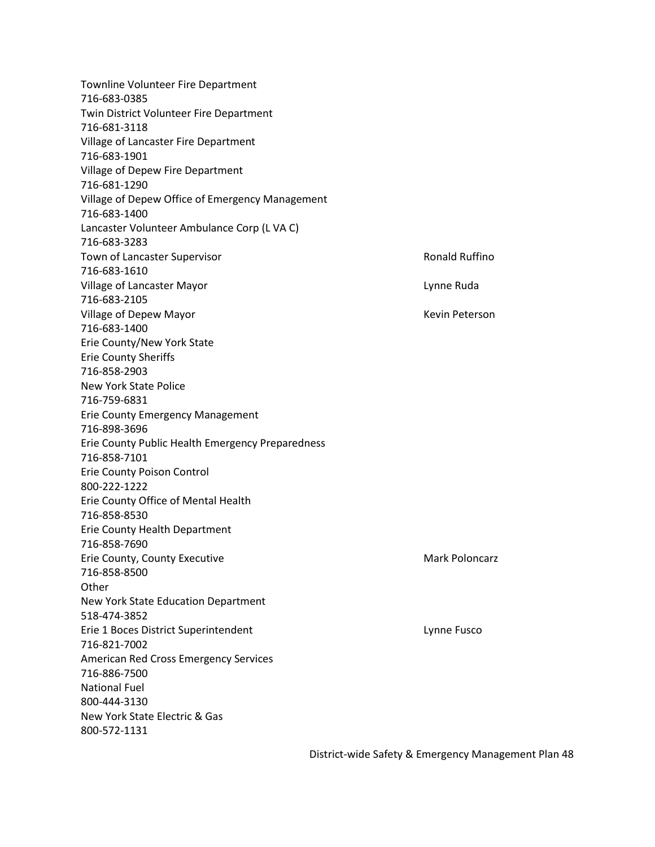Townline Volunteer Fire Department 716-683-0385 Twin District Volunteer Fire Department 716-681-3118 Village of Lancaster Fire Department 716-683-1901 Village of Depew Fire Department 716-681-1290 Village of Depew Office of Emergency Management 716-683-1400 Lancaster Volunteer Ambulance Corp (L VA C) 716-683-3283 Town of Lancaster Supervisor **Ronald Ruffino Ronald Ruffino** 716-683-1610 Village of Lancaster Mayor Lynne Ruda 716-683-2105 Village of Depew Mayor National Communication of Dependent Action Activities (New York 2012) 716-683-1400 Erie County/New York State Erie County Sheriffs 716-858-2903 New York State Police 716-759-6831 Erie County Emergency Management 716-898-3696 Erie County Public Health Emergency Preparedness 716-858-7101 Erie County Poison Control 800-222-1222 Erie County Office of Mental Health 716-858-8530 Erie County Health Department 716-858-7690 Erie County, County Executive Mark Poloncarz Mark Poloncarz 716-858-8500 **Other** New York State Education Department 518-474-3852 Erie 1 Boces District Superintendent Lynne Fusco 716-821-7002 American Red Cross Emergency Services 716-886-7500 National Fuel 800-444-3130 New York State Electric & Gas 800-572-1131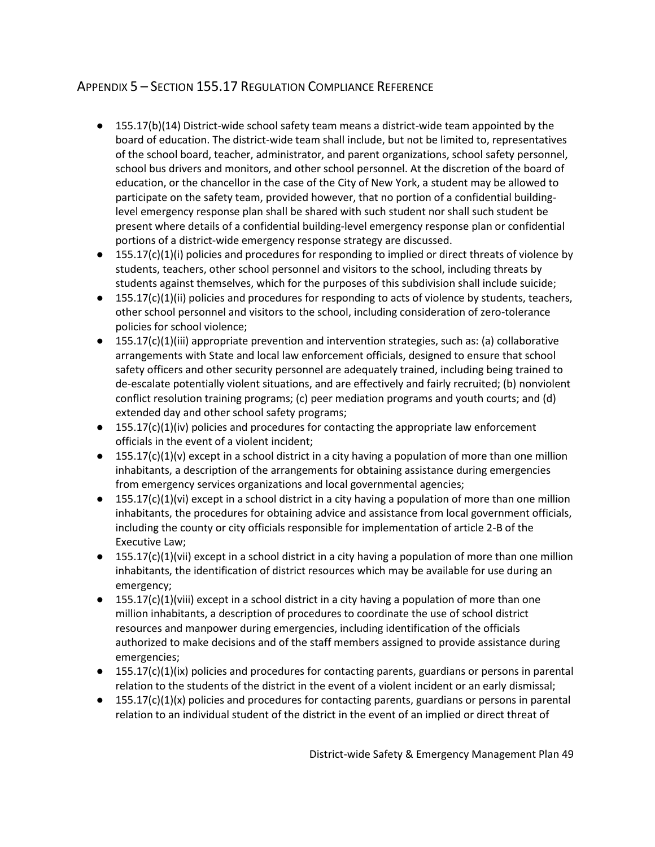## <span id="page-49-0"></span>APPENDIX 5 – SECTION 155.17 REGULATION COMPLIANCE REFERENCE

- 155.17(b)(14) District-wide school safety team means a district-wide team appointed by the board of education. The district-wide team shall include, but not be limited to, representatives of the school board, teacher, administrator, and parent organizations, school safety personnel, school bus drivers and monitors, and other school personnel. At the discretion of the board of education, or the chancellor in the case of the City of New York, a student may be allowed to participate on the safety team, provided however, that no portion of a confidential buildinglevel emergency response plan shall be shared with such student nor shall such student be present where details of a confidential building-level emergency response plan or confidential portions of a district-wide emergency response strategy are discussed.
- 155.17(c)(1)(i) policies and procedures for responding to implied or direct threats of violence by students, teachers, other school personnel and visitors to the school, including threats by students against themselves, which for the purposes of this subdivision shall include suicide;
- 155.17(c)(1)(ii) policies and procedures for responding to acts of violence by students, teachers, other school personnel and visitors to the school, including consideration of zero-tolerance policies for school violence;
- 155.17(c)(1)(iii) appropriate prevention and intervention strategies, such as: (a) collaborative arrangements with State and local law enforcement officials, designed to ensure that school safety officers and other security personnel are adequately trained, including being trained to de-escalate potentially violent situations, and are effectively and fairly recruited; (b) nonviolent conflict resolution training programs; (c) peer mediation programs and youth courts; and (d) extended day and other school safety programs;
- $\bullet$  155.17(c)(1)(iv) policies and procedures for contacting the appropriate law enforcement officials in the event of a violent incident;
- $\bullet$  155.17(c)(1)(v) except in a school district in a city having a population of more than one million inhabitants, a description of the arrangements for obtaining assistance during emergencies from emergency services organizations and local governmental agencies;
- $\bullet$  155.17(c)(1)(vi) except in a school district in a city having a population of more than one million inhabitants, the procedures for obtaining advice and assistance from local government officials, including the county or city officials responsible for implementation of article 2-B of the Executive Law;
- $\bullet$  155.17(c)(1)(vii) except in a school district in a city having a population of more than one million inhabitants, the identification of district resources which may be available for use during an emergency;
- $\bullet$  155.17(c)(1)(viii) except in a school district in a city having a population of more than one million inhabitants, a description of procedures to coordinate the use of school district resources and manpower during emergencies, including identification of the officials authorized to make decisions and of the staff members assigned to provide assistance during emergencies;
- $\bullet$  155.17(c)(1)(ix) policies and procedures for contacting parents, guardians or persons in parental relation to the students of the district in the event of a violent incident or an early dismissal;
- 155.17(c)(1)(x) policies and procedures for contacting parents, guardians or persons in parental relation to an individual student of the district in the event of an implied or direct threat of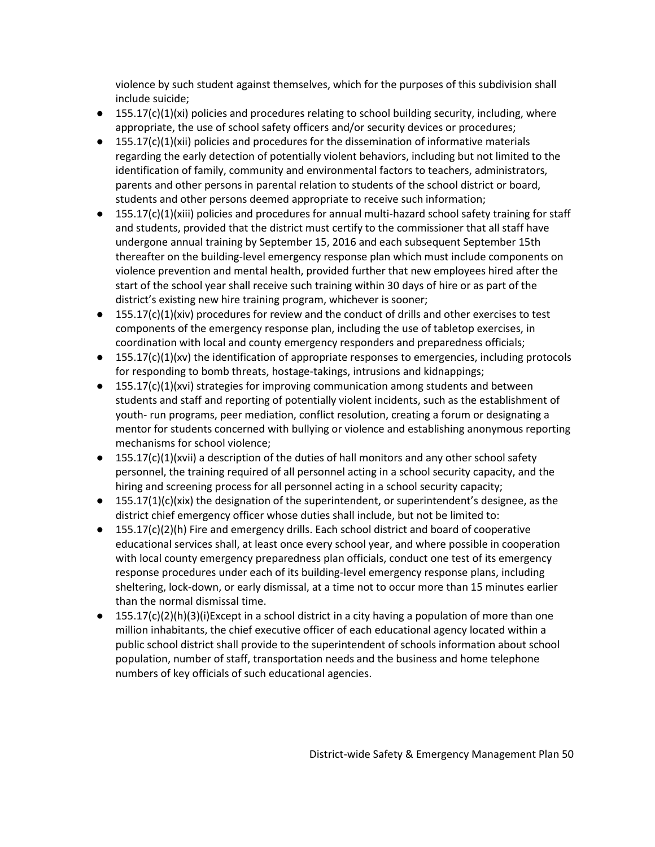violence by such student against themselves, which for the purposes of this subdivision shall include suicide;

- $\bullet$  155.17(c)(1)(xi) policies and procedures relating to school building security, including, where appropriate, the use of school safety officers and/or security devices or procedures;
- $\bullet$  155.17(c)(1)(xii) policies and procedures for the dissemination of informative materials regarding the early detection of potentially violent behaviors, including but not limited to the identification of family, community and environmental factors to teachers, administrators, parents and other persons in parental relation to students of the school district or board, students and other persons deemed appropriate to receive such information;
- 155.17(c)(1)(xiii) policies and procedures for annual multi-hazard school safety training for staff and students, provided that the district must certify to the commissioner that all staff have undergone annual training by September 15, 2016 and each subsequent September 15th thereafter on the building-level emergency response plan which must include components on violence prevention and mental health, provided further that new employees hired after the start of the school year shall receive such training within 30 days of hire or as part of the district's existing new hire training program, whichever is sooner;
- 155.17(c)(1)(xiv) procedures for review and the conduct of drills and other exercises to test components of the emergency response plan, including the use of tabletop exercises, in coordination with local and county emergency responders and preparedness officials;
- 155.17(c)(1)(xv) the identification of appropriate responses to emergencies, including protocols for responding to bomb threats, hostage-takings, intrusions and kidnappings;
- $\bullet$  155.17(c)(1)(xvi) strategies for improving communication among students and between students and staff and reporting of potentially violent incidents, such as the establishment of youth- run programs, peer mediation, conflict resolution, creating a forum or designating a mentor for students concerned with bullying or violence and establishing anonymous reporting mechanisms for school violence;
- $\bullet$  155.17(c)(1)(xvii) a description of the duties of hall monitors and any other school safety personnel, the training required of all personnel acting in a school security capacity, and the hiring and screening process for all personnel acting in a school security capacity;
- $\bullet$  155.17(1)(c)(xix) the designation of the superintendent, or superintendent's designee, as the district chief emergency officer whose duties shall include, but not be limited to:
- 155.17(c)(2)(h) Fire and emergency drills. Each school district and board of cooperative educational services shall, at least once every school year, and where possible in cooperation with local county emergency preparedness plan officials, conduct one test of its emergency response procedures under each of its building-level emergency response plans, including sheltering, lock-down, or early dismissal, at a time not to occur more than 15 minutes earlier than the normal dismissal time.
- $\bullet$  155.17(c)(2)(h)(3)(i)Except in a school district in a city having a population of more than one million inhabitants, the chief executive officer of each educational agency located within a public school district shall provide to the superintendent of schools information about school population, number of staff, transportation needs and the business and home telephone numbers of key officials of such educational agencies.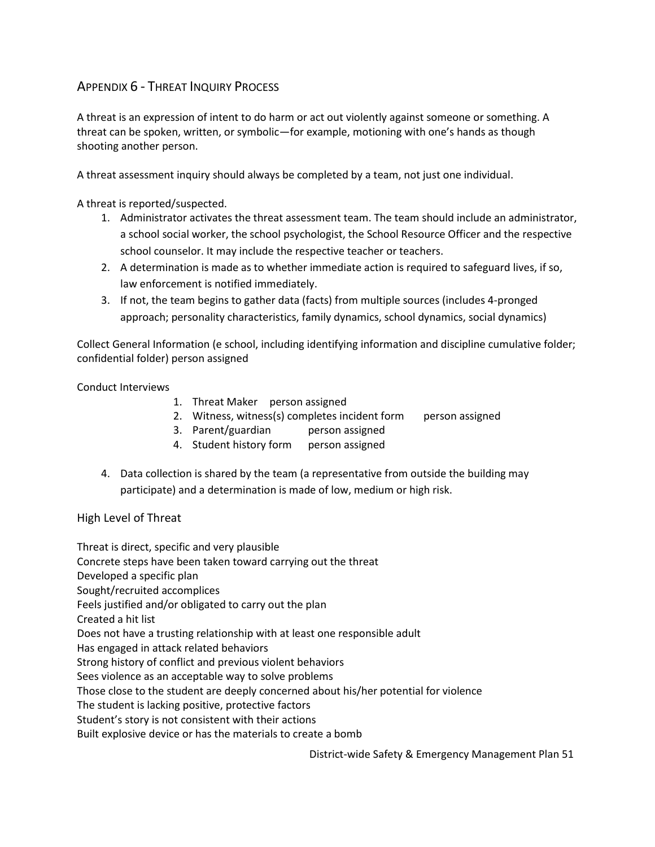## APPENDIX 6 - THREAT INQUIRY PROCESS

A threat is an expression of intent to do harm or act out violently against someone or something. A threat can be spoken, written, or symbolic—for example, motioning with one's hands as though shooting another person.

A threat assessment inquiry should always be completed by a team, not just one individual.

A threat is reported/suspected.

- 1. Administrator activates the threat assessment team. The team should include an administrator, a school social worker, the school psychologist, the School Resource Officer and the respective school counselor. It may include the respective teacher or teachers.
- 2. A determination is made as to whether immediate action is required to safeguard lives, if so, law enforcement is notified immediately.
- 3. If not, the team begins to gather data (facts) from multiple sources (includes 4-pronged approach; personality characteristics, family dynamics, school dynamics, social dynamics)

Collect General Information (e school, including identifying information and discipline cumulative folder; confidential folder) person assigned

Conduct Interviews

- 1. Threat Maker person assigned
- 2. Witness, witness(s) completes incident form person assigned
- 3. Parent/guardian person assigned
- 4. Student history form person assigned
- 4. Data collection is shared by the team (a representative from outside the building may participate) and a determination is made of low, medium or high risk.

High Level of Threat

Threat is direct, specific and very plausible Concrete steps have been taken toward carrying out the threat Developed a specific plan Sought/recruited accomplices Feels justified and/or obligated to carry out the plan Created a hit list Does not have a trusting relationship with at least one responsible adult Has engaged in attack related behaviors Strong history of conflict and previous violent behaviors Sees violence as an acceptable way to solve problems Those close to the student are deeply concerned about his/her potential for violence The student is lacking positive, protective factors Student's story is not consistent with their actions Built explosive device or has the materials to create a bomb